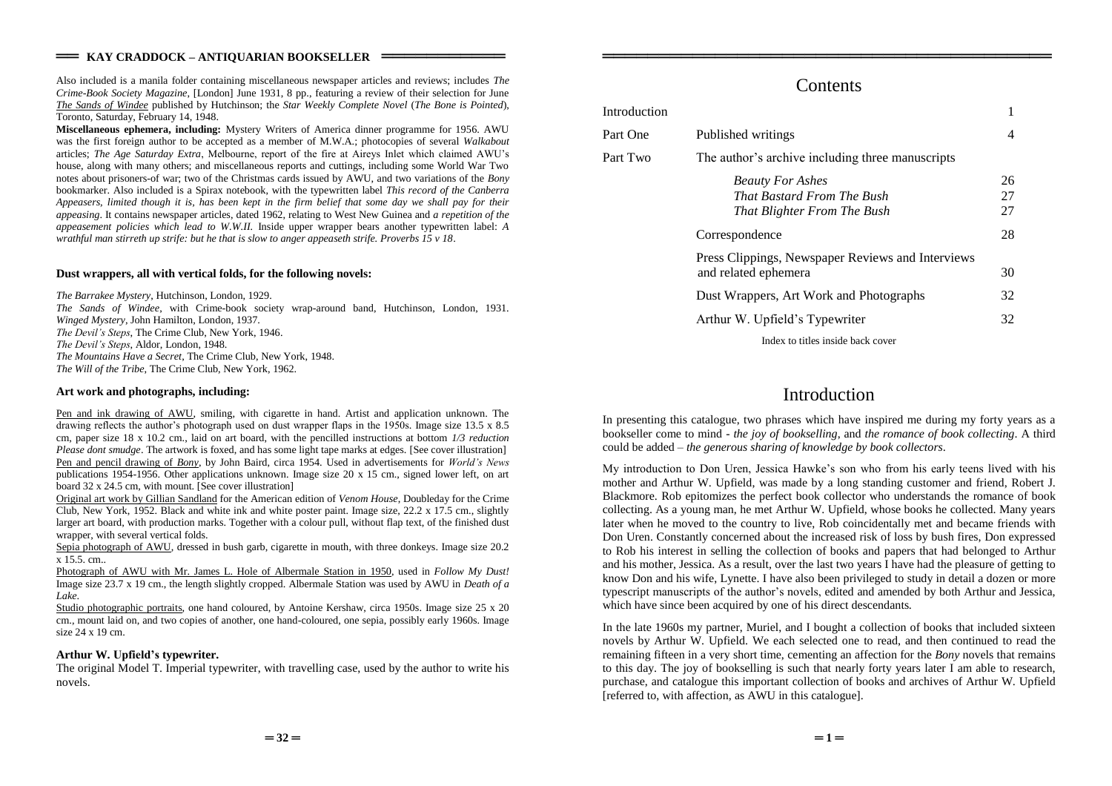Also included is a manila folder containing miscellaneous newspaper articles and reviews; includes *The Crime-Book Society Magazine*, [London] June 1931, 8 pp., featuring a review of their selection for June *The Sands of Windee* published by Hutchinson; the *Star Weekly Complete Novel* (*The Bone is Pointed*), Toronto, Saturday, February 14, 1948.

**Miscellaneous ephemera, including:** Mystery Writers of America dinner programme for 1956. AWU was the first foreign author to be accepted as a member of M.W.A.; photocopies of several *Walkabout* articles; *The Age Saturday Extra*, Melbourne, report of the fire at Aireys Inlet which claimed AWU's house, along with many others; and miscellaneous reports and cuttings, including some World War Two notes about prisoners-of war; two of the Christmas cards issued by AWU, and two variations of the *Bony* bookmarker. Also included is a Spirax notebook, with the typewritten label *This record of the Canberra Appeasers, limited though it is, has been kept in the firm belief that some day we shall pay for their appeasing*. It contains newspaper articles, dated 1962, relating to West New Guinea and *a repetition of the appeasement policies which lead to W.W.II.* Inside upper wrapper bears another typewritten label: *A wrathful man stirreth up strife: but he that is slow to anger appeaseth strife. Proverbs 15 v 18*.

## **Dust wrappers, all with vertical folds, for the following novels:**

*The Barrakee Mystery*, Hutchinson, London, 1929. *The Sands of Windee*, with Crime-book society wrap-around band, Hutchinson, London, 1931. *Winged Mystery*, John Hamilton, London, 1937. *The Devil's Steps*, The Crime Club, New York, 1946. The Devil's Steps, Aldor, London, 1948. *The Mountains Have a Secret*, The Crime Club, New York, 1948. *The Will of the Tribe*, The Crime Club, New York, 1962.

## **Art work and photographs, including:**

Pen and ink drawing of AWU, smiling, with cigarette in hand. Artist and application unknown. The drawing reflects the author's photograph used on dust wrapper flaps in the 1950s. Image size  $13.5 \times 8.5$ cm, paper size 18 x 10.2 cm., laid on art board, with the pencilled instructions at bottom *1/3 reduction Please dont smudge*. The artwork is foxed, and has some light tape marks at edges. [See cover illustration] Pen and pencil drawing of *Bony*, by John Baird, circa 1954. Used in advertisements for *World's News* publications 1954-1956. Other applications unknown. Image size 20 x 15 cm., signed lower left, on art board 32 x 24.5 cm, with mount. [See cover illustration]

Original art work by Gillian Sandland for the American edition of *Venom House*, Doubleday for the Crime Club, New York, 1952. Black and white ink and white poster paint. Image size, 22.2 x 17.5 cm., slightly larger art board, with production marks. Together with a colour pull, without flap text, of the finished dust wrapper, with several vertical folds.

Sepia photograph of AWU, dressed in bush garb, cigarette in mouth, with three donkeys. Image size 20.2 x 15.5. cm..

Photograph of AWU with Mr. James L. Hole of Albermale Station in 1950, used in *Follow My Dust!* Image size 23.7 x 19 cm., the length slightly cropped. Albermale Station was used by AWU in *Death of a Lake*.

Studio photographic portraits, one hand coloured, by Antoine Kershaw, circa 1950s. Image size 25 x 20 cm., mount laid on, and two copies of another, one hand-coloured, one sepia, possibly early 1960s. Image size 24 x 19 cm.

### **Arthur W. Upfield'stypewriter.**

The original Model T. Imperial typewriter, with travelling case, used by the author to write his novels.

# **Contents**

════════════════════════════════════════

| Introduction |                                                                                             |                |
|--------------|---------------------------------------------------------------------------------------------|----------------|
| Part One     | Published writings                                                                          | 4              |
| Part Two     | The author's archive including three manuscripts                                            |                |
|              | <b>Beauty For Ashes</b><br><b>That Bastard From The Bush</b><br>That Blighter From The Bush | 26<br>27<br>27 |
|              | Correspondence                                                                              | 28             |
|              | Press Clippings, Newspaper Reviews and Interviews<br>and related ephemera                   | 30             |
|              | Dust Wrappers, Art Work and Photographs                                                     | 32             |
|              | Arthur W. Upfield's Typewriter                                                              | 32             |
|              | Index to titles inside back cover                                                           |                |

# Introduction

In presenting this catalogue, two phrases which have inspired me during my forty years as a bookseller come to mind - *the joy of bookselling*, and *the romance of book collecting*. A third could be added –*the generous sharing of knowledge by book collectors*.

My introduction to Don Uren, Jessica Hawke's son who from his early teens lived with his mother and Arthur W. Upfield, was made by a long standing customer and friend, Robert J. Blackmore. Rob epitomizes the perfect book collector who understands the romance of book collecting. As a young man, he met Arthur W. Upfield, whose books he collected. Many years later when he moved to the country to live, Rob coincidentally met and became friends with Don Uren. Constantly concerned about the increased risk of loss by bush fires, Don expressed to Rob his interest in selling the collection of books and papers that had belonged to Arthur and his mother, Jessica. As a result, over the last two years I have had the pleasure of getting to know Don and his wife, Lynette. I have also been privileged to study in detail a dozen or more typescript manuscripts of the author's novels, edited and amended by both Arthur and Jessica, which have since been acquired by one of his direct descendants.

In the late 1960s my partner, Muriel, and I bought a collection of books that included sixteen novels by Arthur W. Upfield. We each selected one to read, and then continued to read the remaining fifteen in a very short time, cementing an affection for the *Bony* novels that remains to this day. The joy of bookselling is such that nearly forty years later I am able to research, purchase, and catalogue this important collection of books and archives of Arthur W. Upfield [referred to, with affection, as AWU in this catalogue].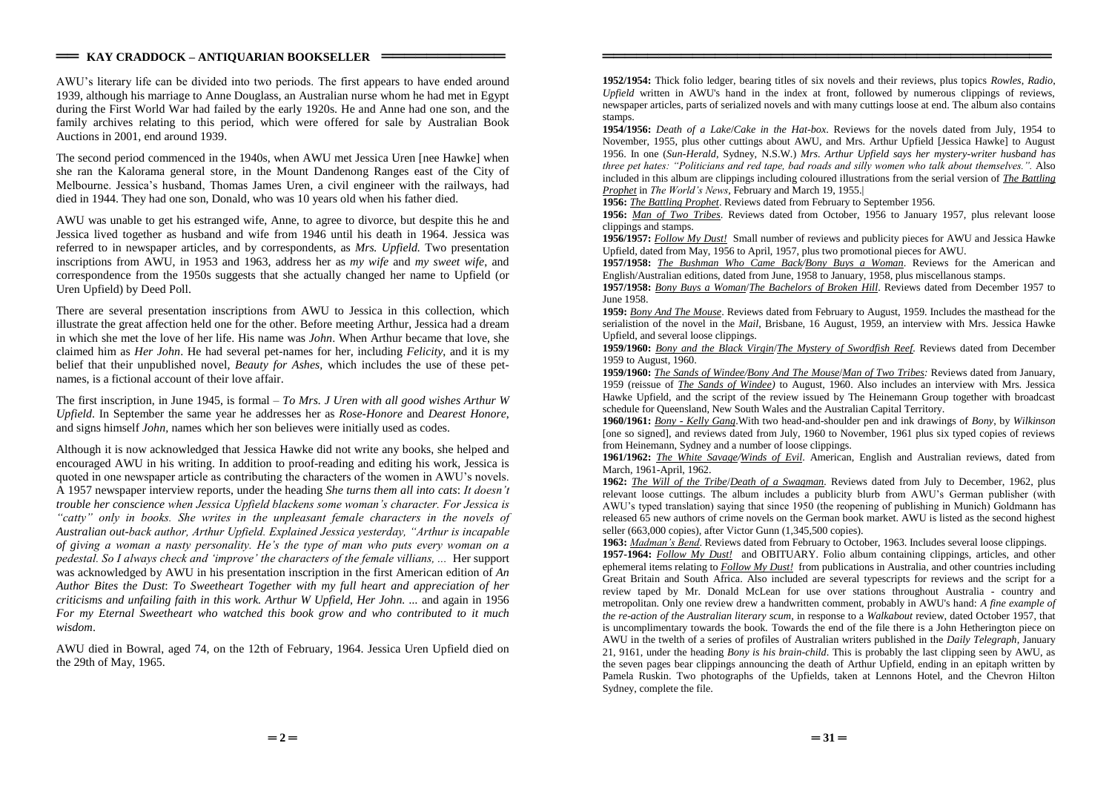### $=$  **KAY CRADDOCK – ANTIQUARIAN BOOKSELLER** =

AWU's literary life can be divided into two periods. The first appears to have ended around 1939, although his marriage to Anne Douglass, an Australian nurse whom he had met in Egypt during the First World War had failed by the early 1920s. He and Anne had one son, and the family archives relating to this period, which were offered for sale by Australian Book Auctions in 2001, end around 1939.

The second period commenced in the 1940s, when AWU met Jessica Uren [nee Hawke] when she ran the Kalorama general store, in the Mount Dandenong Ranges east of the City of Melbourne.Jessica'shusband,Thomas James Uren, a civil engineer with the railways, had died in 1944. They had one son, Donald, who was 10 years old when his father died.

AWU was unable to get his estranged wife, Anne, to agree to divorce, but despite this he and Jessica lived together as husband and wife from 1946 until his death in 1964. Jessica was referred to in newspaper articles, and by correspondents, as *Mrs. Upfield.* Two presentation inscriptions from AWU, in 1953 and 1963, address her as *my wife* and *my sweet wife*, and correspondence from the 1950s suggests that she actually changed her name to Upfield (or Uren Upfield) by Deed Poll.

There are several presentation inscriptions from AWU to Jessica in this collection, which illustrate the great affection held one for the other. Before meeting Arthur, Jessica had a dream in which she met the love of her life. His name was *John*. When Arthur became that love, she claimed him as *Her John*. He had several pet-names for her, including *Felicity*, and it is my belief that their unpublished novel, *Beauty for Ashes,* which includes the use of these petnames, is a fictional account of their love affair.

The first inscription, in June 1945, is formal –*To Mrs. J Uren with all good wishes Arthur W Upfield*. In September the same year he addresses her as *Rose-Honore* and *Dearest Honore*, and signs himself *John,* names which her son believes were initially used as codes.

Although it is now acknowledged that Jessica Hawke did not write any books, she helped and encouraged AWU in his writing. In addition to proof-reading and editing his work, Jessica is quoted in one newspaper article as contributing the characters of the women in AWU's novels. A 1957 newspaper interview reports, under the heading *She turns them all into cats*: *Itdoesn't trouble her conscience whenJessicaUpfieldblackenssomewoman'scharacter.ForJessicais* "catty" only in books. She writes in the unpleasant female characters in the novels of *Australian out-backauthor,ArthurUpfield.ExplainedJessicayesterday,"Arthurisincapable of giving a woman a nasty personality. He's the type of man who puts every woman on a pedestal.SoIalwayscheckand'improve'thecharactersofthefemalevillians,...*Her support was acknowledged by AWU in his presentation inscription in the first American edition of *An Author Bites the Dust*: *To Sweetheart Together with my full heart and appreciation of her criticisms and unfailing faith in this work. Arthur W Upfield, Her John. ...* and again in 1956 *For my Eternal Sweetheart who watched this book grow and who contributed to it much wisdom*.

AWU died in Bowral, aged 74, on the 12th of February, 1964. Jessica Uren Upfield died on the 29th of May, 1965.

**1952/1954:** Thick folio ledger, bearing titles of six novels and their reviews, plus topics *Rowles*, *Radio*, *Upfield* written in AWU's hand in the index at front, followed by numerous clippings of reviews, newspaper articles, parts of serialized novels and with many cuttings loose at end. The album also contains stamps.

════════════════════════════════════════

**1954/1956:** *Death of a Lake*/*Cake in the Hat-box*. Reviews for the novels dated from July, 1954 to November, 1955, plus other cuttings about AWU, and Mrs. Arthur Upfield [Jessica Hawke] to August 1956. In one (*Sun-Herald*, Sydney, N.S.W.) *Mrs. Arthur Upfield says her mystery-writer husband has three pet hates: "Politicians and red tape, bad roads and silly women who talk about themselves.".* Also included in this album are clippings including coloured illustrations from the serial version of *The Battling Prophet* in *The World's News*, February and March 19, 1955.

**1956:** *The Battling Prophet*. Reviews dated from February to September 1956.

**1956:** *Man of Two Tribes*. Reviews dated from October, 1956 to January 1957, plus relevant loose clippings and stamps.

**1956/1957:** *Follow My Dust!* Small number of reviews and publicity pieces for AWU and Jessica Hawke Upfield, dated from May, 1956 to April, 1957, plus two promotional pieces for AWU.

**1957/1958:** *The Bushman Who Came Back/Bony Buys a Woman*. Reviews for the American and English/Australian editions, dated from June, 1958 to January, 1958, plus miscellanous stamps.

**1957/1958:** *Bony Buys a Woman*/*The Bachelors of Broken Hill*. Reviews dated from December 1957 to June 1958.

**1959:** *Bony And The Mouse*. Reviews dated from February to August, 1959. Includes the masthead for the serialistion of the novel in the *Mail*, Brisbane, 16 August, 1959, an interview with Mrs. Jessica Hawke Upfield, and several loose clippings.

**1959/1960:** *Bony and the Black Virgin*/*The Mystery of Swordfish Reef.* Reviews dated from December 1959 to August, 1960.

**1959/1960:** *The Sands of Windee/Bony And The Mouse*/*Man of Two Tribes:* Reviews dated from January, 1959 (reissue of *The Sands of Windee)* to August, 1960. Also includes an interview with Mrs. Jessica Hawke Upfield, and the script of the review issued by The Heinemann Group together with broadcast schedule for Queensland, New South Wales and the Australian Capital Territory.

**1960/1961:** *Bony - Kelly Gang*.With two head-and-shoulder pen and ink drawings of *Bony*, by *Wilkinson* [one so signed], and reviews dated from July, 1960 to November, 1961 plus six typed copies of reviews from Heinemann, Sydney and a number of loose clippings.

**1961/1962:** *The White Savage/Winds of Evil*. American, English and Australian reviews, dated from March, 1961-April, 1962.

**1962:** *The Will of the Tribe*/*Death of a Swagman.* Reviews dated from July to December, 1962, plus relevant loose cuttings. The album includes a publicity blurb from AWU's German publisher (with AWU's typed translation) saying that since 1950 (the reopening of publishing in Munich) Goldmann has released 65 new authors of crime novels on the German book market. AWU is listed as the second highest seller (663,000 copies), after Victor Gunn (1,345,500 copies).

**1963:** *Madman's Bend*. Reviews dated from February to October, 1963. Includes several loose clippings.

**1957-1964:** *Follow My Dust!* and OBITUARY. Folio album containing clippings, articles, and other ephemeral items relating to *Follow My Dust!* from publications in Australia, and other countries including Great Britain and South Africa. Also included are several typescripts for reviews and the script for a review taped by Mr. Donald McLean for use over stations throughout Australia - country and metropolitan. Only one review drew a handwritten comment, probably in AWU's hand: *A fine example of the re-action of the Australian literary scum*, in response to a *Walkabout* review, dated October 1957, that is uncomplimentary towards the book*.* Towards the end of the file there is a John Hetherington piece on AWU in the twelth of a series of profiles of Australian writers published in the *Daily Telegraph*, January 21, 9161, under the heading *Bony is his brain-child*. This is probably the last clipping seen by AWU, as the seven pages bear clippings announcing the death of Arthur Upfield, ending in an epitaph written by Pamela Ruskin. Two photographs of the Upfields, taken at Lennons Hotel, and the Chevron Hilton Sydney, complete the file.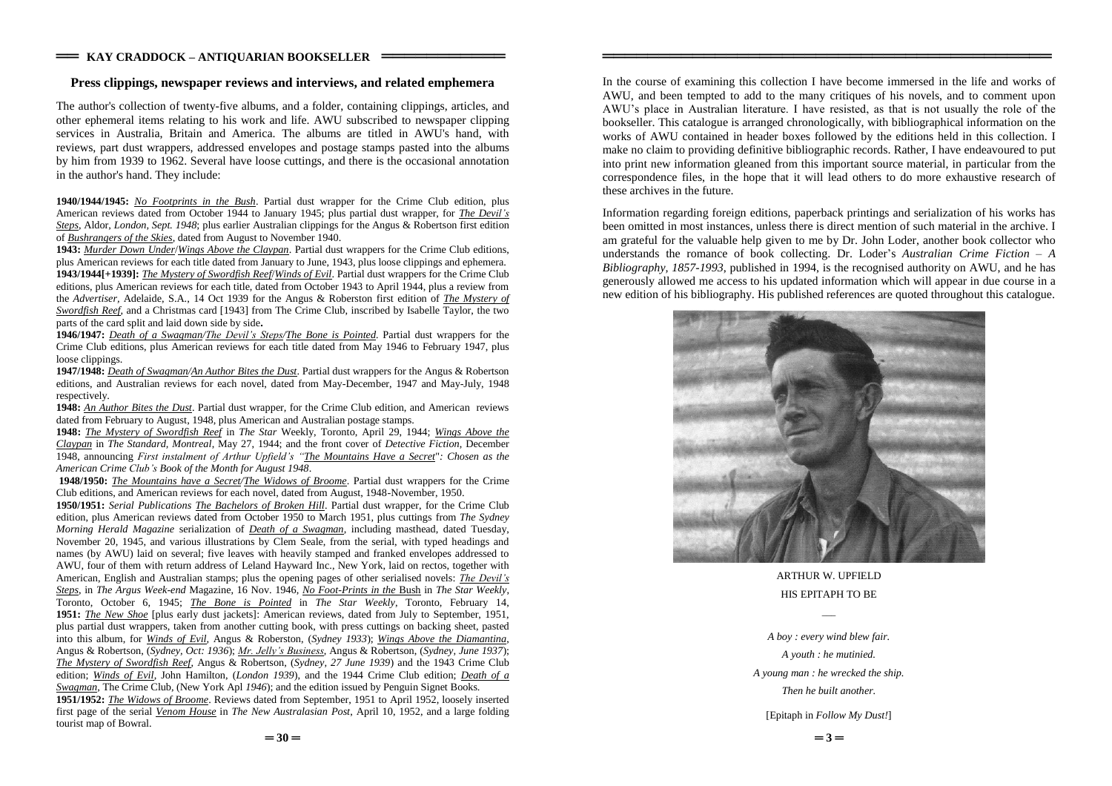#### **Press clippings, newspaper reviews and interviews, and related emphemera**

The author's collection of twenty-five albums, and a folder, containing clippings, articles, and other ephemeral items relating to his work and life. AWU subscribed to newspaper clipping services in Australia, Britain and America. The albums are titled in AWU's hand, with reviews, part dust wrappers, addressed envelopes and postage stamps pasted into the albums by him from 1939 to 1962. Several have loose cuttings, and there is the occasional annotation in the author's hand. They include:

**1940/1944/1945:** *No Footprints in the Bush*. Partial dust wrapper for the Crime Club edition, plus American reviews dated from October 1944 to January 1945; plus partial dust wrapper, for *The Devil's Steps*, Aldor, *London, Sept. 1948*; plus earlier Australian clippings for the Angus & Robertson first edition of *Bushrangers of the Skies*, dated from August to November 1940.

**1943:** *Murder Down Under*/*Wings Above the Claypan*. Partial dust wrappers for the Crime Club editions, plus American reviews for each title dated from January to June, 1943, plus loose clippings and ephemera. **1943/1944[+1939]:** *The Mystery of Swordfish Reef*/*Winds of Evil*. Partial dust wrappers for the Crime Club editions, plus American reviews for each title, dated from October 1943 to April 1944, plus a review from the *Advertiser,* Adelaide, S.A., 14 Oct 1939 for the Angus & Roberston first edition of *The Mystery of Swordfish Reef*, and a Christmas card [1943] from The Crime Club, inscribed by Isabelle Taylor, the two parts of the card split and laid down side by side**.**

**1946/1947:** *Death of a Swagman/The Devil's Steps/The Bone is Pointed.* Partial dust wrappers for the Crime Club editions, plus American reviews for each title dated from May 1946 to February 1947, plus loose clippings.

**1947/1948:** *Death of Swagman/An Author Bites the Dust*. Partial dust wrappers for the Angus & Robertson editions, and Australian reviews for each novel, dated from May-December, 1947 and May-July, 1948 respectively.

**1948:** *An Author Bites the Dust*. Partial dust wrapper, for the Crime Club edition, and American reviews dated from February to August, 1948, plus American and Australian postage stamps.

**1948:** *The Mystery of Swordfish Reef* in *The Star* Weekly, Toronto, April 29, 1944; *Wings Above the Claypan* in *The Standard, Montreal*, May 27, 1944; and the front cover of *Detective Fiction*, December 1948, announcing *FirstinstalmentofArthurUpfield's"The Mountains Have a Secret*"*: Chosen as the American Crime Club'sBook of the Month for August 1948*.

**1948/1950:** *The Mountains have a Secret/The Widows of Broome*. Partial dust wrappers for the Crime Club editions, and American reviews for each novel, dated from August, 1948-November, 1950.

**1950/1951:** *Serial Publications The Bachelors of Broken Hill*. Partial dust wrapper, for the Crime Club edition, plus American reviews dated from October 1950 to March 1951, plus cuttings from *The Sydney Morning Herald Magazine* serialization of *Death of a Swagman*, including masthead, dated Tuesday, November 20, 1945, and various illustrations by Clem Seale, from the serial, with typed headings and names (by AWU) laid on several; five leaves with heavily stamped and franked envelopes addressed to AWU, four of them with return address of Leland Hayward Inc., New York, laid on rectos, together with American, English and Australian stamps; plus the opening pages of other serialised novels: *The Devil's Steps*, in *The Argus Week-end* Magazine, 16 Nov. 1946, *No Foot-Prints in the* Bush in *The Star Weekly*, Toronto, October 6, 1945; *The Bone is Pointed* in *The Star Weekly*, Toronto, February 14, **1951:** *The New Shoe* [plus early dust jackets]: American reviews, dated from July to September, 1951, plus partial dust wrappers, taken from another cutting book, with press cuttings on backing sheet, pasted into this album, for *Winds of Evil*, Angus & Roberston, (*Sydney 1933*); *Wings Above the Diamantina*, Angus & Robertson, (*Sydney, Oct: 1936*); *Mr. Jelly's Business*, Angus & Robertson, (*Sydney, June 1937*); *The Mystery of Swordfish Reef*, Angus & Robertson, (*Sydney, 27 June 1939*) and the 1943 Crime Club edition; *Winds of Evil*, John Hamilton, (*London 1939*), and the 1944 Crime Club edition; *Death of a Swagman*, The Crime Club, (New York Apl *1946*); and the edition issued by Penguin Signet Books. **1951/1952:** *The Widows of Broome*. Reviews dated from September, 1951 to April 1952, loosely inserted

In the course of examining this collection I have become immersed in the life and works of AWU, and been tempted to add to the many critiques of his novels, and to comment upon AWU's place in Australian literature. I have resisted, as that is not usually the role of the bookseller. This catalogue is arranged chronologically, with bibliographical information on the works of AWU contained in header boxes followed by the editions held in this collection. I make no claim to providing definitive bibliographic records. Rather, I have endeavoured to put into print new information gleaned from this important source material, in particular from the correspondence files, in the hope that it will lead others to do more exhaustive research of these archives in the future.

════════════════════════════════════════

Information regarding foreign editions, paperback printings and serialization of his works has been omitted in most instances, unless there is direct mention of such material in the archive. I am grateful for the valuable help given to me by Dr. John Loder, another book collector who understands the romance of book collecting. Dr. Loder's *Australian Crime Fiction –A Bibliography, 1857-1993*, published in 1994, is the recognised authority on AWU, and he has generously allowed me access to his updated information which will appear in due course in a new edition of his bibliography. His published references are quoted throughout this catalogue.



ARTHUR W. UPFIELD HIS EPITAPH TO BE

 $\overline{\phantom{a}}$ 

*A boy : every wind blew fair. A youth : he mutinied. A young man : he wrecked the ship. Then he built another.*

[Epitaph in *Follow My Dust!*]

first page of the serial *Venom House* in *The New Australasian Post*, April 10, 1952, and a large folding

tourist map of Bowral.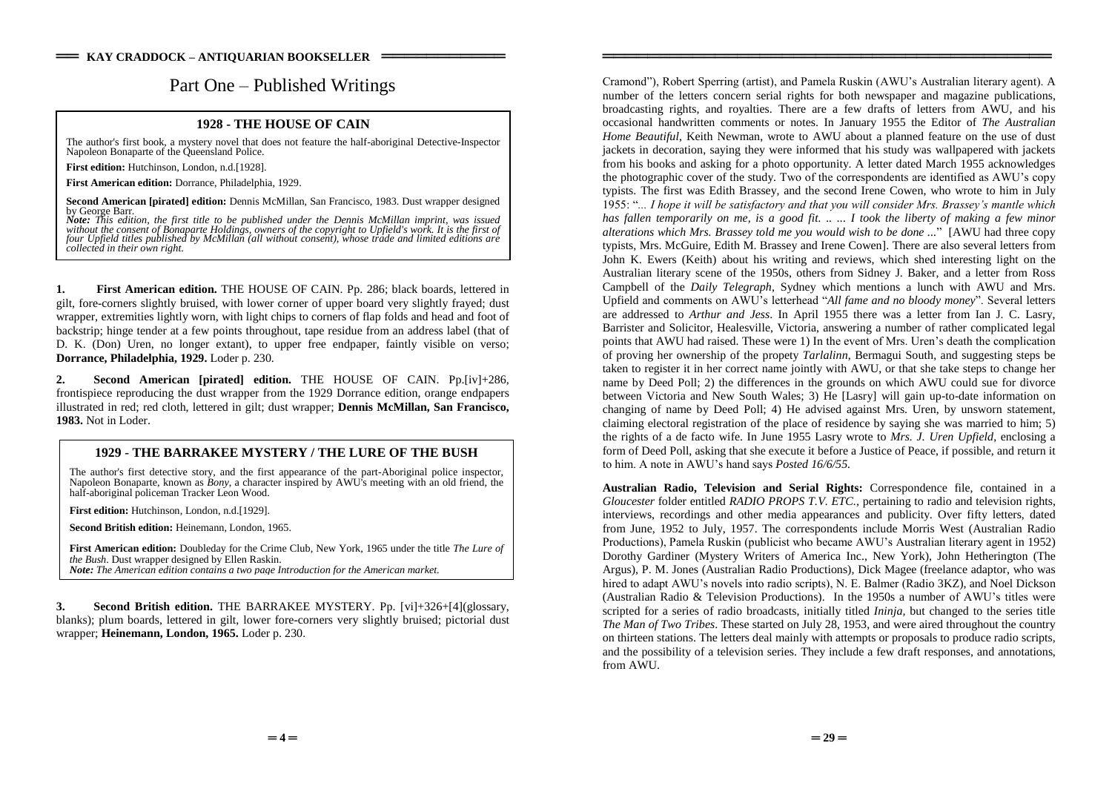# Part One – Published Writings

### **1928 - THE HOUSE OF CAIN**

The author's first book, a mystery novel that does not feature the half-aboriginal Detective-Inspector Napoleon Bonaparte of the Queensland Police.

**First edition:** Hutchinson, London, n.d.[1928].

**First American edition:** Dorrance, Philadelphia, 1929.

**Second American [pirated] edition:** Dennis McMillan, San Francisco, 1983. Dust wrapper designed by George Barr.

**Note:** This edition, the first title to be published under the Dennis McMillan imprint, was issued<br>without the consent of Bonaparte Holdings, owners of the copyright to Upfield's work. It is the first of *four Upfield titles published by McMillan (all without consent), whose trade and limited editions are collected in their own right.*

**1. First American edition.** THE HOUSE OF CAIN. Pp. 286; black boards, lettered in gilt, fore-corners slightly bruised, with lower corner of upper board very slightly frayed; dust wrapper, extremities lightly worn, with light chips to corners of flap folds and head and foot of backstrip; hinge tender at a few points throughout, tape residue from an address label (that of D. K. (Don) Uren, no longer extant), to upper free endpaper, faintly visible on verso; **Dorrance, Philadelphia, 1929.** Loder p. 230.

**2. Second American [pirated] edition.** THE HOUSE OF CAIN. Pp.[iv]+286, frontispiece reproducing the dust wrapper from the 1929 Dorrance edition, orange endpapers illustrated in red; red cloth, lettered in gilt; dust wrapper; **Dennis McMillan, San Francisco, 1983.** Not in Loder.

## **1929** - **THE BARRAKEE MYSTERY / THE LURE OF THE BUSH**

The author's first detective story, and the first appearance of the part-Aboriginal police inspector, Napoleon Bonaparte, known as *Bony*, a character inspired by AWU's meeting with an old friend, the half-aboriginal policeman Tracker Leon Wood.

**First edition:** Hutchinson, London, n.d.[1929].

**Second British edition:** Heinemann, London, 1965.

**First American edition:** Doubleday for the Crime Club, New York, 1965 under the title *The Lure of the Bush*. Dust wrapper designed by Ellen Raskin. *Note: The American edition contains a two page Introduction for the American market.*

**3. Second British edition.** THE BARRAKEE MYSTERY. Pp. [vi]+326+[4](glossary, blanks); plum boards, lettered in gilt, lower fore-corners very slightly bruised; pictorial dust wrapper; **Heinemann, London, 1965.** Loder p. 230.

Cramond"), Robert Sperring (artist), and Pamela Ruskin (AWU's Australian literary agent). A number of the letters concern serial rights for both newspaper and magazine publications, broadcasting rights, and royalties. There are a few drafts of letters from AWU, and his occasional handwritten comments or notes. In January 1955 the Editor of *The Australian Home Beautiful*, Keith Newman, wrote to AWU about a planned feature on the use of dust jackets in decoration, saying they were informed that his study was wallpapered with jackets from his books and asking for a photo opportunity. A letter dated March 1955 acknowledges the photographic cover of the study. Two of the correspondents are identified as AWU's copy typists. The first was Edith Brassey, and the second Irene Cowen, who wrote to him in July 1955:"*...IhopeitwillbesatisfactoryandthatyouwillconsiderMrs.Brassey'smantlewhich has fallen temporarily on me, is a good fit. .. ... I took the liberty of making a few minor alterations which Mrs. Brassey told me you would wish to be done ...*"[AWU had three copy typists, Mrs. McGuire, Edith M. Brassey and Irene Cowen]. There are also several letters from John K. Ewers (Keith) about his writing and reviews, which shed interesting light on the Australian literary scene of the 1950s, others from Sidney J. Baker, and a letter from Ross Campbell of the *Daily Telegraph*, Sydney which mentions a lunch with AWU and Mrs. Upfield and comments on AWU's letterhead "*All fame and no bloody money*". Several letters are addressed to *Arthur and Jess*. In April 1955 there was a letter from Ian J. C. Lasry, Barrister and Solicitor, Healesville, Victoria, answering a number of rather complicated legal points that AWU had raised. These were 1) In the event of Mrs. Uren's death the complication of proving her ownership of the propety *Tarlalinn*, Bermagui South, and suggesting steps be taken to register it in her correct name jointly with AWU, or that she take steps to change her name by Deed Poll; 2) the differences in the grounds on which AWU could sue for divorce between Victoria and New South Wales; 3) He [Lasry] will gain up-to-date information on changing of name by Deed Poll; 4) He advised against Mrs. Uren, by unsworn statement, claiming electoral registration of the place of residence by saying she was married to him; 5) the rights of a de facto wife. In June 1955 Lasry wrote to *Mrs. J. Uren Upfield*, enclosing a form of Deed Poll, asking that she execute it before a Justice of Peace, if possible, and return it to him. A note in AWU's hand says *Posted 16/6/55*.

════════════════════════════════════════

**Australian Radio, Television and Serial Rights:** Correspondence file, contained in a *Gloucester* folder entitled *RADIO PROPS T.V. ETC.,* pertaining to radio and television rights, interviews, recordings and other media appearances and publicity. Over fifty letters, dated from June, 1952 to July, 1957. The correspondents include Morris West (Australian Radio Productions), Pamela Ruskin (publicist who became AWU's Australian literary agent in 1952) Dorothy Gardiner (Mystery Writers of America Inc., New York), John Hetherington (The Argus), P. M. Jones (Australian Radio Productions), Dick Magee (freelance adaptor, who was hired to adapt AWU's novels into radio scripts), N. E. Balmer (Radio 3KZ), and Noel Dickson (Australian Radio & Television Productions). In the 1950s a number of AWU's titles were scripted for a series of radio broadcasts, initially titled *Ininja,* but changed to the series title *The Man of Two Tribes*. These started on July 28, 1953, and were aired throughout the country on thirteen stations. The letters deal mainly with attempts or proposals to produce radio scripts, and the possibility of a television series. They include a few draft responses, and annotations, from AWU.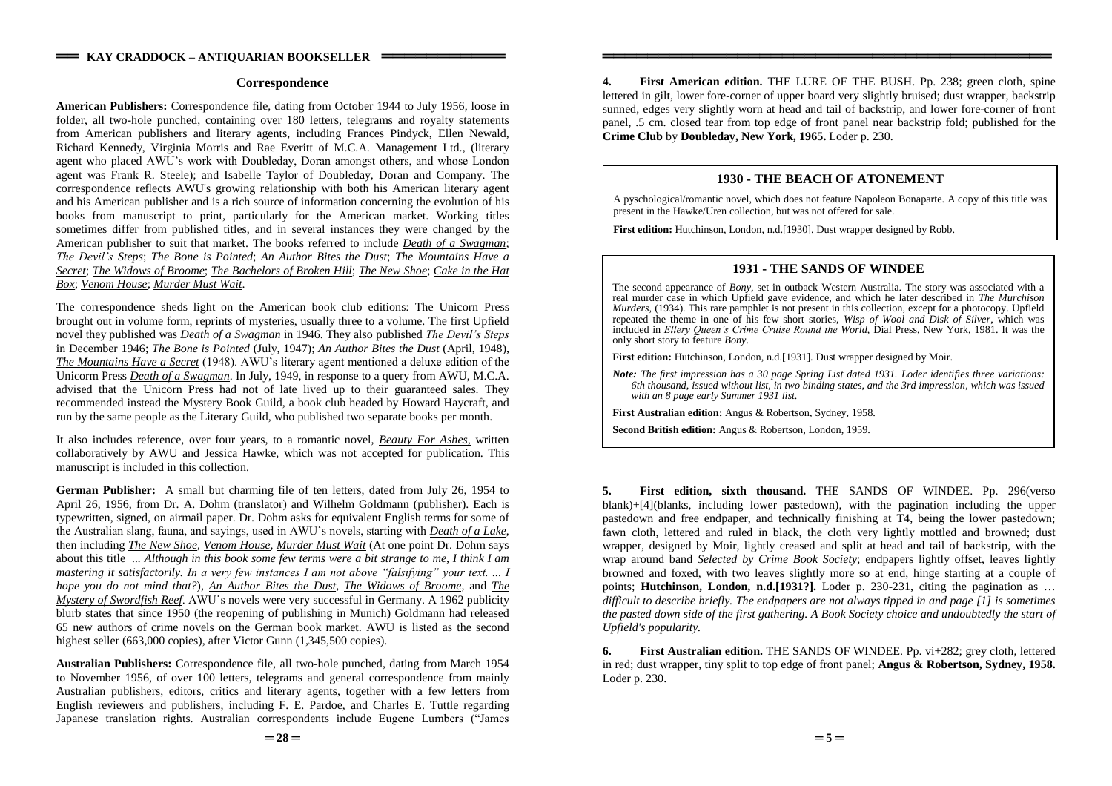#### **Correspondence**

**American Publishers:** Correspondence file, dating from October 1944 to July 1956, loose in folder, all two-hole punched, containing over 180 letters, telegrams and royalty statements from American publishers and literary agents, including Frances Pindyck, Ellen Newald, Richard Kennedy, Virginia Morris and Rae Everitt of M.C.A. Management Ltd., (literary agent who placed AWU's work with Doubleday, Doran amongst others, and whose London agent was Frank R. Steele); and Isabelle Taylor of Doubleday, Doran and Company. The correspondence reflects AWU's growing relationship with both his American literary agent and his American publisher and is a rich source of information concerning the evolution of his books from manuscript to print, particularly for the American market. Working titles sometimes differ from published titles, and in several instances they were changed by the American publisher to suit that market. The books referred to include *Death of a Swagman*; *TheDevil'sSteps*; *The Bone is Pointed*; *An Author Bites the Dust*; *The Mountains Have a Secret*; *The Widows of Broome*; *The Bachelors of Broken Hill*; *The New Shoe*; *Cake in the Hat Box*; *Venom House*; *Murder Must Wait*.

The correspondence sheds light on the American book club editions: The Unicorn Press brought out in volume form, reprints of mysteries, usually three to a volume. The first Upfield novel they published was *Death of a Swagman* in 1946. They also published *The Devil's Steps* in December 1946; *The Bone is Pointed* (July, 1947); *An Author Bites the Dust* (April, 1948), *The Mountains Have a Secret* (1948). AWU's literary agent mentioned a deluxe edition of the Unicorm Press *Death of a Swagman*. In July, 1949, in response to a query from AWU, M.C.A. advised that the Unicorn Press had not of late lived up to their guaranteed sales. They recommended instead the Mystery Book Guild, a book club headed by Howard Haycraft, and run by the same people as the Literary Guild, who published two separate books per month.

It also includes reference, over four years, to a romantic novel, *Beauty For Ashes,* written collaboratively by AWU and Jessica Hawke, which was not accepted for publication. This manuscript is included in this collection.

**German Publisher:** A small but charming file of ten letters, dated from July 26, 1954 to April 26, 1956, from Dr. A. Dohm (translator) and Wilhelm Goldmann (publisher). Each is typewritten, signed, on airmail paper. Dr. Dohm asks for equivalent English terms for some of the Australian slang, fauna, and sayings, used in AWU's novels, starting with *Death of a Lake*, then including *The New Shoe, Venom House*, *Murder Must Wait* (At one point Dr. Dohm says about this title *... Although in this book some few terms were a bit strange to me, I think I am mastering it satisfactorily. In a very few instances I am not above "falsifying" your text.... I hope you do not mind that?*), *An Author Bites the Dust*, *The Widows of Broome*, and *The Mystery of Swordfish Reef.* AWU's novels were very successful in Germany. A 1962 publicity blurb states that since 1950 (the reopening of publishing in Munich) Goldmann had released 65 new authors of crime novels on the German book market. AWU is listed as the second highest seller (663,000 copies), after Victor Gunn (1,345,500 copies).

**Australian Publishers:** Correspondence file, all two-hole punched, dating from March 1954 to November 1956, of over 100 letters, telegrams and general correspondence from mainly Australian publishers, editors, critics and literary agents, together with a few letters from English reviewers and publishers, including F. E. Pardoe, and Charles E. Tuttle regarding Japanese translation rights. Australian correspondents include Eugene Lumbers ("James")

**4. First American edition.** THE LURE OF THE BUSH. Pp. 238; green cloth, spine lettered in gilt, lower fore-corner of upper board very slightly bruised; dust wrapper, backstrip sunned, edges very slightly worn at head and tail of backstrip, and lower fore-corner of front panel, .5 cm. closed tear from top edge of front panel near backstrip fold; published for the **Crime Club** by **Doubleday, New York, 1965.** Loder p. 230.

════════════════════════════════════════

### **1930 - THE BEACH OF ATONEMENT**

A pyschological/romantic novel, which does not feature Napoleon Bonaparte. A copy of this title was present in the Hawke/Uren collection, but was not offered for sale.

**First edition:** Hutchinson, London, n.d.[1930]. Dust wrapper designed by Robb.

#### **1931 - THE SANDS OF WINDEE**

The second appearance of *Bony*, set in outback Western Australia. The story was associated with a real murder case in which Upfield gave evidence, and which he later described in *The Murchison Murders*, (1934). This rare pamphlet is not present in this collection, except for a photocopy. Upfield repeated the theme in one of his few short stories, *Wisp of Wool and Disk of Silver*, which was included in *Ellery Queen's Crime Cruise Round the World*, Dial Press, New York, 1981. It was the only short story to feature *Bony*.

**First edition:** Hutchinson, London, n.d.[1931]. Dust wrapper designed by Moir.

*Note: The first impression has a 30 page Spring List dated 1931. Loder identifies three variations: 6th thousand, issued without list, in two binding states, and the 3rd impression, which was issued with an 8 page early Summer 1931 list.*

**First Australian edition:** Angus & Robertson, Sydney, 1958.

**Second British edition:** Angus & Robertson, London, 1959.

**5. First edition, sixth thousand.** THE SANDS OF WINDEE. Pp. 296(verso blank)+[4](blanks, including lower pastedown), with the pagination including the upper pastedown and free endpaper, and technically finishing at T4, being the lower pastedown; fawn cloth, lettered and ruled in black, the cloth very lightly mottled and browned; dust wrapper, designed by Moir, lightly creased and split at head and tail of backstrip, with the wrap around band *Selected by Crime Book Society*; endpapers lightly offset, leaves lightly browned and foxed, with two leaves slightly more so at end, hinge starting at a couple of points; **Hutchinson, London, n.d.[1931?].** Loder p. 230-231, citing the pagination as … *difficult to describe briefly. The endpapers are not always tipped in and page [1] is sometimes the pasted down side of the first gathering. A Book Society choice and undoubtedly the start of Upfield's popularity.*

**6. First Australian edition.** THE SANDS OF WINDEE. Pp. vi+282; grey cloth, lettered in red; dust wrapper, tiny split to top edge of front panel; **Angus & Robertson, Sydney, 1958.** Loder p. 230.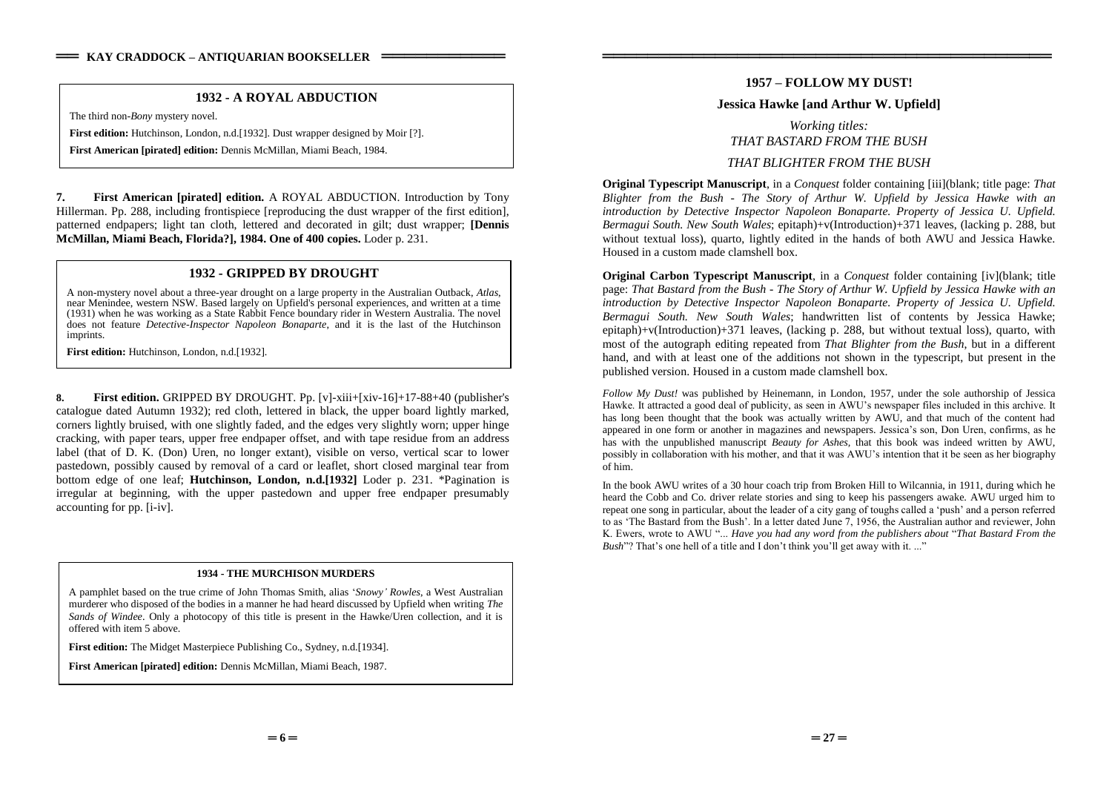## **1932 - A ROYAL ABDUCTION**

The third non-*Bony* mystery novel.

**First edition:** Hutchinson, London, n.d. [1932]. Dust wrapper designed by Moir [?].

**First American [pirated] edition:** Dennis McMillan, Miami Beach, 1984.

**7. First American [pirated] edition.** A ROYAL ABDUCTION. Introduction by Tony Hillerman. Pp. 288, including frontispiece [reproducing the dust wrapper of the first edition], patterned endpapers; light tan cloth, lettered and decorated in gilt; dust wrapper; **[Dennis McMillan, Miami Beach, Florida?], 1984. One of 400 copies.** Loder p. 231.

## **1932 - GRIPPED BY DROUGHT**

A non-mystery novel about a three-year drought on a large property in the Australian Outback, *Atlas*, near Menindee, western NSW. Based largely on Upfield's personal experiences, and written at a time (1931) when he was working as a State Rabbit Fence boundary rider in Western Australia. The novel does not feature *Detective-Inspector Napoleon Bonaparte*, and it is the last of the Hutchinson imprints.

**First edition:** Hutchinson, London, n.d.[1932].

**8. First edition.** GRIPPED BY DROUGHT. Pp. [v]-xiii+[xiv-16]+17-88+40 (publisher's catalogue dated Autumn 1932); red cloth, lettered in black, the upper board lightly marked, corners lightly bruised, with one slightly faded, and the edges very slightly worn; upper hinge cracking, with paper tears, upper free endpaper offset, and with tape residue from an address label (that of D. K. (Don) Uren, no longer extant), visible on verso, vertical scar to lower pastedown, possibly caused by removal of a card or leaflet, short closed marginal tear from bottom edge of one leaf; **Hutchinson, London, n.d.[1932]** Loder p. 231. \*Pagination is irregular at beginning, with the upper pastedown and upper free endpaper presumably accounting for pp. [i-iv].

#### **1934 - THE MURCHISON MURDERS**

A pamphlet based on the true crime of John Thomas Smith, alias '*Snowy'Rowles*, a West Australian murderer who disposed of the bodies in a manner he had heard discussed by Upfield when writing *The Sands of Windee*. Only a photocopy of this title is present in the Hawke/Uren collection, and it is offered with item 5 above.

**First edition:** The Midget Masterpiece Publishing Co., Sydney, n.d.[1934].

**First American [pirated] edition:** Dennis McMillan, Miami Beach, 1987.

## **1957 –FOLLOW MY DUST!**

════════════════════════════════════════

### **Jessica Hawke [and Arthur W. Upfield]**

# *Working titles: THAT BASTARD FROM THE BUSH THAT BLIGHTER FROM THE BUSH*

**Original Typescript Manuscript**, in a *Conquest* folder containing [iii](blank; title page: *That Blighter from the Bush - The Story of Arthur W. Upfield by Jessica Hawke with an introduction by Detective Inspector Napoleon Bonaparte. Property of Jessica U. Upfield. Bermagui South. New South Wales*; epitaph)+v(Introduction)+371 leaves, (lacking p. 288, but without textual loss), quarto, lightly edited in the hands of both AWU and Jessica Hawke. Housed in a custom made clamshell box.

**Original Carbon Typescript Manuscript**, in a *Conquest* folder containing [iv](blank; title page: *That Bastard from the Bush - The Story of Arthur W. Upfield by Jessica Hawke with an introduction by Detective Inspector Napoleon Bonaparte. Property of Jessica U. Upfield. Bermagui South. New South Wales*; handwritten list of contents by Jessica Hawke; epitaph)+v(Introduction)+371 leaves, (lacking p. 288, but without textual loss), quarto, with most of the autograph editing repeated from *That Blighter from the Bush*, but in a different hand, and with at least one of the additions not shown in the typescript, but present in the published version. Housed in a custom made clamshell box.

*Follow My Dust!* was published by Heinemann, in London, 1957, under the sole authorship of Jessica Hawke. It attracted a good deal of publicity, as seen in AWU's newspaper files included in this archive. It has long been thought that the book was actually written by AWU, and that much of the content had appeared in one form or another in magazines and newspapers. Jessica's son, Don Uren, confirms, as he has with the unpublished manuscript *Beauty for Ashes,* that this book was indeed written by AWU, possibly in collaboration with his mother, and that it was AWU's intention that it be seen as her biography of him.

In the book AWU writes of a 30 hour coach trip from Broken Hill to Wilcannia, in 1911, during which he heard the Cobb and Co. driver relate stories and sing to keep his passengers awake. AWU urged him to repeat one song in particular, about the leader of a city gang of toughs called a 'push' and a person referred to as 'The Bastard from the Bush'. In a letter dated June 7, 1956, the Australian author and reviewer. John K.Ewers,wrotetoAWU"...*Have you had any word from the publishers about* "*That Bastard From the Bush*"? That's one hell of a title and I don't think you'll get away with it...."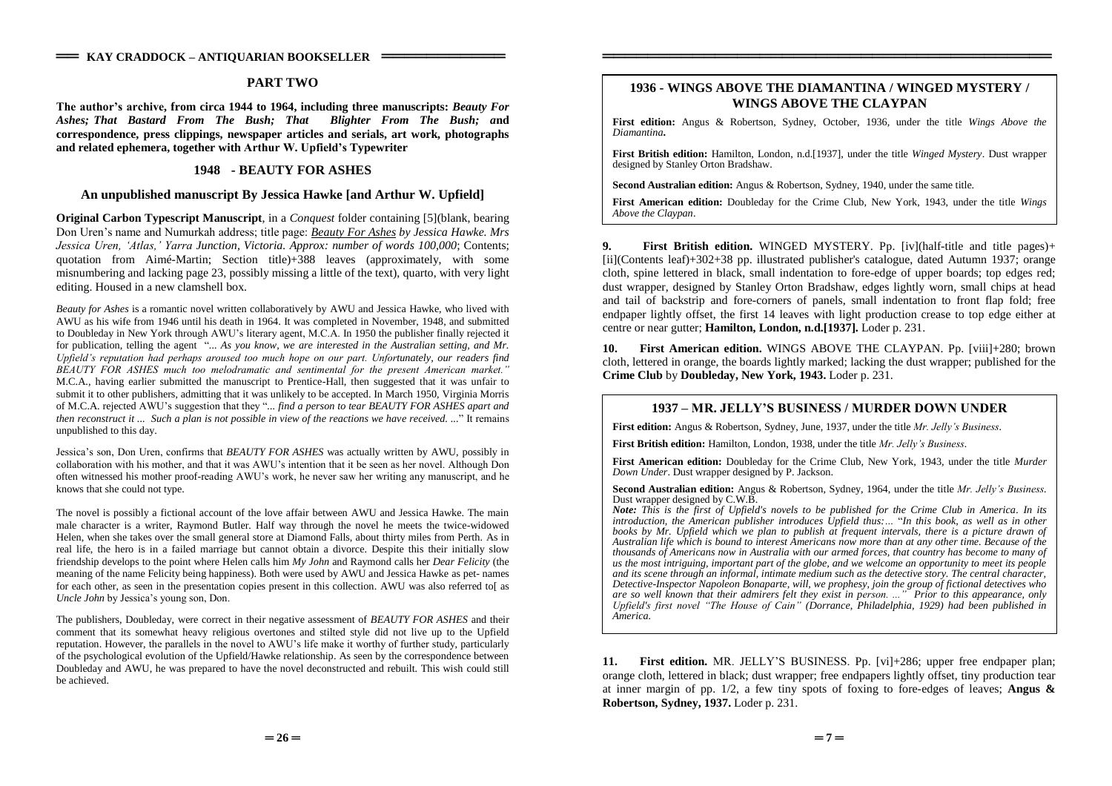### **PART TWO**

**Theauthor'sarchive, from circa 1944 to 1964, including three manuscripts:** *Beauty For Ashes; That Bastard From The Bush; That Blighter From The Bush; a***nd correspondence, press clippings, newspaper articles and serials, art work, photographs and related ephemera, together with ArthurW.Upfield'sTypewriter**

### **1948 - BEAUTY FOR ASHES**

### **An unpublished manuscript By Jessica Hawke [and Arthur W. Upfield]**

**Original Carbon Typescript Manuscript**, in a *Conquest* folder containing [5](blank, bearing DonUren'snameandNumurkahaddress;titlepage:*Beauty For Ashes by Jessica Hawke. Mrs JessicaUren,'Atlas,'YarraJunction, Victoria. Approx: number of words 100,000*; Contents; quotation from Aimé-Martin; Section title)+388 leaves (approximately, with some misnumbering and lacking page 23, possibly missing a little of the text), quarto, with very light editing. Housed in a new clamshell box.

*Beauty for Ashes* is a romantic novel written collaboratively by AWU and Jessica Hawke, who lived with AWU as his wife from 1946 until his death in 1964. It was completed in November, 1948, and submitted to Doubleday in New York through AWU's literary agent, M.C.A. In 1950 the publisher finally rejected it for publication, telling the agent "*... As you know, we are interested in the Australian setting, and Mr.* Upfield's reputation had perhaps aroused too much hope on our part. Unfortunately, our readers find BEAUTY FOR ASHES much too melodramatic and sentimental for the present American market." M.C.A., having earlier submitted the manuscript to Prentice-Hall, then suggested that it was unfair to submit it to other publishers, admitting that it was unlikely to be accepted. In March 1950, Virginia Morris of M.C.A. rejected AWU'ssuggestionthatthey"*... find a person to tear BEAUTY FOR ASHES apart and then reconstruct it ... Such a plan is not possible in view of the reactions we have received. ...*" It remains unpublished to this day.

Jessica'sson,DonUren,confirmsthat*BEAUTY FOR ASHES* was actually written by AWU, possibly in collaboration with his mother, and that it was AWU's intention that it be seen as her novel. Although Don often witnessed his mother proof-reading AWU's work, he never saw her writing any manuscript, and he knows that she could not type.

The novel is possibly a fictional account of the love affair between AWU and Jessica Hawke. The main male character is a writer, Raymond Butler. Half way through the novel he meets the twice-widowed Helen, when she takes over the small general store at Diamond Falls, about thirty miles from Perth. As in real life, the hero is in a failed marriage but cannot obtain a divorce. Despite this their initially slow friendship develops to the point where Helen calls him *My John* and Raymond calls her *Dear Felicity* (the meaning of the name Felicity being happiness). Both were used by AWU and Jessica Hawke as pet- names for each other, as seen in the presentation copies present in this collection. AWU was also referred to[ as *Uncle John* by Jessica's young son, Don.

The publishers, Doubleday, were correct in their negative assessment of *BEAUTY FOR ASHES* and their comment that its somewhat heavy religious overtones and stilted style did not live up to the Upfield reputation. However, the parallels in the novel to AWU's life make it worthy of further study, particularly of the psychological evolution of the Upfield/Hawke relationship. As seen by the correspondence between Doubleday and AWU, he was prepared to have the novel deconstructed and rebuilt. This wish could still be achieved.

## **1936 - WINGS ABOVE THE DIAMANTINA / WINGED MYSTERY / WINGS ABOVE THE CLAYPAN**

════════════════════════════════════════

**First edition:** Angus & Robertson, Sydney, October, 1936, under the title *Wings Above the Diamantina***.**

**First British edition:** Hamilton, London, n.d.[1937], under the title *Winged Mystery*. Dust wrapper designed by Stanley Orton Bradshaw.

**Second Australian edition:** Angus & Robertson, Sydney, 1940, under the same title.

**First American edition:** Doubleday for the Crime Club, New York, 1943, under the title *Wings Above the Claypan*.

**9. First British edition.** WINGED MYSTERY. Pp. [iv](half-title and title pages)+ [ii](Contents leaf)+302+38 pp. illustrated publisher's catalogue, dated Autumn 1937; orange cloth, spine lettered in black, small indentation to fore-edge of upper boards; top edges red; dust wrapper, designed by Stanley Orton Bradshaw, edges lightly worn, small chips at head and tail of backstrip and fore-corners of panels, small indentation to front flap fold; free endpaper lightly offset, the first 14 leaves with light production crease to top edge either at centre or near gutter; **Hamilton, London, n.d.[1937].** Loder p. 231.

**10. First American edition.** WINGS ABOVE THE CLAYPAN. Pp. [viii]+280; brown cloth, lettered in orange, the boards lightly marked; lacking the dust wrapper; published for the **Crime Club** by **Doubleday, New York, 1943.** Loder p. 231.

### **1937 –MR.JELLY'SBUSINESS/MURDERDOWNUNDER**

**First edition:** Angus & Robertson, Sydney, June, 1937, under the title *Mr. Jelly's Business*.

**First British edition:** Hamilton, London, 1938, under the title *Mr. Jelly's Business*.

**First American edition:** Doubleday for the Crime Club, New York, 1943, under the title *Murder Down Under*. Dust wrapper designed by P. Jackson.

**Second Australian edition:** Angus & Robertson, Sydney, 1964, under the title *Mr. Jelly's Business*. Dust wrapper designed by C.W.B.

*Note: This is the first of Upfield's novels to be published for the Crime Club in America. In its introduction, the American publisher introduces Upfield thus:…* "*In this book, as well as in other books by Mr. Upfield which we plan to publish at frequent intervals, there is a picture drawn of Australian life which is bound to interest Americans now more than at any other time. Because of the thousands of Americans now in Australia with our armed forces, that country has become to many of us the most intriguing, important part of the globe, and we welcome an opportunity to meet its people and its scene through an informal, intimate medium such as the detective story. The central character, Detective-Inspector Napoleon Bonaparte, will, we prophesy, join the group of fictional detectives who are so well known that their admirers felt they exist in person...." Prior to this appearance, only Upfield's first novel "The House of Cain" (Dorrance, Philadelphia, 1929) had been published in America.*

**11. First edition.** MR. JELLY'S BUSINESS. Pp. [vi]+286; upper free endpaper plan; orange cloth, lettered in black; dust wrapper; free endpapers lightly offset, tiny production tear at inner margin of pp. 1/2, a few tiny spots of foxing to fore-edges of leaves; **Angus & Robertson, Sydney, 1937.** Loder p. 231.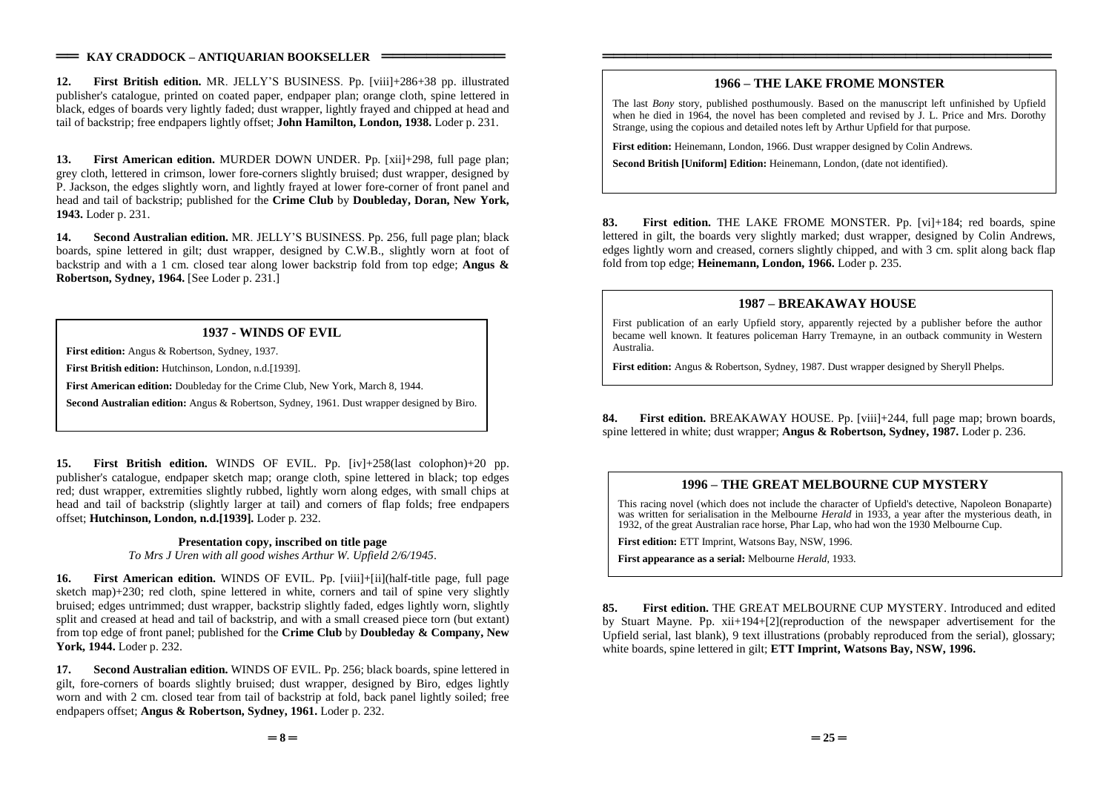### $=$  **KAY CRADDOCK – ANTIQUARIAN BOOKSELLER** =

**12. First British edition.** MR.JELLY'SBUSINESS.Pp. [viii]+286+38 pp. illustrated publisher's catalogue, printed on coated paper, endpaper plan; orange cloth, spine lettered in black, edges of boards very lightly faded; dust wrapper, lightly frayed and chipped at head and tail of backstrip; free endpapers lightly offset; **John Hamilton, London, 1938.** Loder p. 231.

**13. First American edition.** MURDER DOWN UNDER. Pp. [xii]+298, full page plan; grey cloth, lettered in crimson, lower fore-corners slightly bruised; dust wrapper, designed by P. Jackson, the edges slightly worn, and lightly frayed at lower fore-corner of front panel and head and tail of backstrip; published for the **Crime Club** by **Doubleday, Doran, New York, 1943.** Loder p. 231.

**14. Second Australian edition.** MR. JELLY'S BUSINESS. Pp. 256, full page plan; black boards, spine lettered in gilt; dust wrapper, designed by C.W.B., slightly worn at foot of backstrip and with a 1 cm. closed tear along lower backstrip fold from top edge; **Angus & Robertson, Sydney, 1964.** [See Loder p. 231.]

## **1937 - WINDS OF EVIL**

**First edition:** Angus & Robertson, Sydney, 1937.

**First British edition:** Hutchinson, London, n.d.[1939].

**First American edition:** Doubleday for the Crime Club, New York, March 8, 1944.

**Second Australian edition:** Angus & Robertson, Sydney, 1961. Dust wrapper designed by Biro.

**15. First British edition.** WINDS OF EVIL. Pp. [iv]+258(last colophon)+20 pp. publisher's catalogue, endpaper sketch map; orange cloth, spine lettered in black; top edges red; dust wrapper, extremities slightly rubbed, lightly worn along edges, with small chips at head and tail of backstrip (slightly larger at tail) and corners of flap folds; free endpapers offset; **Hutchinson, London, n.d.[1939].** Loder p. 232.

#### **Presentation copy, inscribed on title page**

*To Mrs J Uren with all good wishes Arthur W. Upfield 2/6/1945*.

**16. First American edition.** WINDS OF EVIL. Pp. [viii]+[ii](half-title page, full page sketch map)+230; red cloth, spine lettered in white, corners and tail of spine very slightly bruised; edges untrimmed; dust wrapper, backstrip slightly faded, edges lightly worn, slightly split and creased at head and tail of backstrip, and with a small creased piece torn (but extant) from top edge of front panel; published for the **Crime Club** by **Doubleday & Company, New York, 1944.** Loder p. 232.

**17. Second Australian edition.** WINDS OF EVIL. Pp. 256; black boards, spine lettered in gilt, fore-corners of boards slightly bruised; dust wrapper, designed by Biro, edges lightly worn and with 2 cm. closed tear from tail of backstrip at fold, back panel lightly soiled; free endpapers offset; **Angus & Robertson, Sydney, 1961.** Loder p. 232.

## **1966 –THE LAKE FROME MONSTER**

════════════════════════════════════════

The last *Bony* story, published posthumously. Based on the manuscript left unfinished by Upfield when he died in 1964, the novel has been completed and revised by J. L. Price and Mrs. Dorothy Strange, using the copious and detailed notes left by Arthur Upfield for that purpose.

**First edition:** Heinemann, London, 1966. Dust wrapper designed by Colin Andrews.

**Second British [Uniform] Edition:** Heinemann, London, (date not identified).

**83. First edition.** THE LAKE FROME MONSTER. Pp. [vi]+184; red boards, spine lettered in gilt, the boards very slightly marked; dust wrapper, designed by Colin Andrews, edges lightly worn and creased, corners slightly chipped, and with 3 cm. split along back flap fold from top edge; **Heinemann, London, 1966.** Loder p. 235.

### **1987 –BREAKAWAY HOUSE**

First publication of an early Upfield story, apparently rejected by a publisher before the author became well known. It features policeman Harry Tremayne, in an outback community in Western Australia.

**First edition:** Angus & Robertson, Sydney, 1987. Dust wrapper designed by Sheryll Phelps.

**84. First edition.** BREAKAWAY HOUSE. Pp. [viii]+244, full page map; brown boards, spine lettered in white; dust wrapper; **Angus & Robertson, Sydney, 1987.** Loder p. 236.

## **1996 –THE GREAT MELBOURNE CUP MYSTERY**

This racing novel (which does not include the character of Upfield's detective, Napoleon Bonaparte) was written for serialisation in the Melbourne *Herald* in 1933, a year after the mysterious death, in 1932, of the great Australian race horse, Phar Lap, who had won the 1930 Melbourne Cup.

**First edition:** ETT Imprint, Watsons Bay, NSW, 1996.

**First appearance as a serial:** Melbourne *Herald*, 1933.

**85. First edition.** THE GREAT MELBOURNE CUP MYSTERY. Introduced and edited by Stuart Mayne. Pp. xii+194+[2](reproduction of the newspaper advertisement for the Upfield serial, last blank), 9 text illustrations (probably reproduced from the serial), glossary; white boards, spine lettered in gilt; **ETT Imprint, Watsons Bay, NSW, 1996.**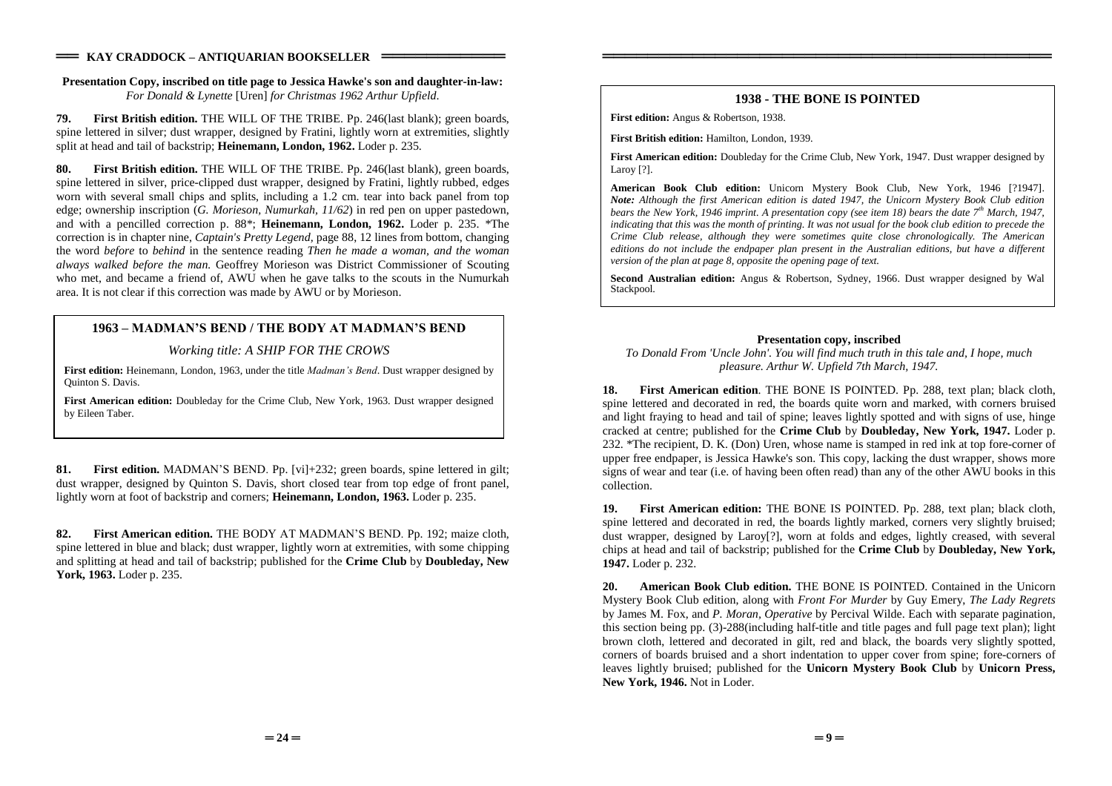### **Presentation Copy, inscribed on title page to Jessica Hawke's son and daughter-in-law:** *For Donald & Lynette* [Uren] *for Christmas 1962 Arthur Upfield*.

**79. First British edition.** THE WILL OF THE TRIBE. Pp. 246(last blank); green boards, spine lettered in silver; dust wrapper, designed by Fratini, lightly worn at extremities, slightly split at head and tail of backstrip; **Heinemann, London, 1962.** Loder p. 235.

**80. First British edition.** THE WILL OF THE TRIBE. Pp. 246(last blank), green boards, spine lettered in silver, price-clipped dust wrapper, designed by Fratini, lightly rubbed, edges worn with several small chips and splits, including a 1.2 cm. tear into back panel from top edge; ownership inscription (*G. Morieson, Numurkah, 11/62*) in red pen on upper pastedown, and with a pencilled correction p. 88\*; **Heinemann, London, 1962.** Loder p. 235. \*The correction is in chapter nine, *Captain's Pretty Legend,* page 88, 12 lines from bottom, changing the word *before* to *behind* in the sentence reading *Then he made a woman, and the woman always walked before the man.* Geoffrey Morieson was District Commissioner of Scouting who met, and became a friend of, AWU when he gave talks to the scouts in the Numurkah area. It is not clear if this correction was made by AWU or by Morieson.

## **1963 – MADMAN'S BEND / THE BODY AT MADMAN'S BEND**

## *Working title: A SHIP FOR THE CROWS*

First edition: Heinemann, London, 1963, under the title *Madman's Bend*. Dust wrapper designed by Quinton S. Davis.

**First American edition:** Doubleday for the Crime Club, New York, 1963. Dust wrapper designed by Eileen Taber.

**81. First edition.** MADMAN'S BEND. Pp. [vi]+232; green boards, spine lettered in gilt; dust wrapper, designed by Quinton S. Davis, short closed tear from top edge of front panel, lightly worn at foot of backstrip and corners; **Heinemann, London, 1963.** Loder p. 235.

**82. First American edition.** THE BODY AT MADMAN'S BEND. Pp. 192; maize cloth, spine lettered in blue and black; dust wrapper, lightly worn at extremities, with some chipping and splitting at head and tail of backstrip; published for the **Crime Club** by **Doubleday, New York, 1963.** Loder p. 235.

## **1938 - THE BONE IS POINTED**

════════════════════════════════════════

**First edition:** Angus & Robertson, 1938.

**First British edition:** Hamilton, London, 1939.

**First American edition:** Doubleday for the Crime Club, New York, 1947. Dust wrapper designed by Laroy [?].

**American Book Club edition:** Unicorn Mystery Book Club, New York, 1946 [?1947]. *Note: Although the first American edition is dated 1947, the Unicorn Mystery Book Club edition bears the New York, 1946 imprint. A presentation copy (see item 18) bears the date 7th March, 1947, indicating that this was the month of printing. It was not usual for the book club edition to precede the Crime Club release, although they were sometimes quite close chronologically. The American editions do not include the endpaper plan present in the Australian editions, but have a different version of the plan at page 8, opposite the opening page of text.*

**Second Australian edition:** Angus & Robertson, Sydney, 1966. Dust wrapper designed by Wal Stackpool.

### **Presentation copy, inscribed**

*To Donald From 'Uncle John'. You will find much truth in this tale and, I hope, much pleasure. Arthur W. Upfield 7th March, 1947.*

**18. First American edition**. THE BONE IS POINTED. Pp. 288, text plan; black cloth, spine lettered and decorated in red, the boards quite worn and marked, with corners bruised and light fraying to head and tail of spine; leaves lightly spotted and with signs of use, hinge cracked at centre; published for the **Crime Club** by **Doubleday, New York, 1947.** Loder p. 232. \*The recipient, D. K. (Don) Uren, whose name is stamped in red ink at top fore-corner of upper free endpaper, is Jessica Hawke's son. This copy, lacking the dust wrapper, shows more signs of wear and tear (i.e. of having been often read) than any of the other AWU books in this collection.

**19. First American edition:** THE BONE IS POINTED. Pp. 288, text plan; black cloth, spine lettered and decorated in red, the boards lightly marked, corners very slightly bruised; dust wrapper, designed by Laroy[?], worn at folds and edges, lightly creased, with several chips at head and tail of backstrip; published for the **Crime Club** by **Doubleday, New York, 1947.** Loder p. 232.

**20. American Book Club edition.** THE BONE IS POINTED. Contained in the Unicorn Mystery Book Club edition, along with *Front For Murder* by Guy Emery, *The Lady Regrets* by James M. Fox, and *P. Moran, Operative* by Percival Wilde. Each with separate pagination, this section being pp. (3)-288(including half-title and title pages and full page text plan); light brown cloth, lettered and decorated in gilt, red and black, the boards very slightly spotted, corners of boards bruised and a short indentation to upper cover from spine; fore-corners of leaves lightly bruised; published for the **Unicorn Mystery Book Club** by **Unicorn Press, New York, 1946.** Not in Loder.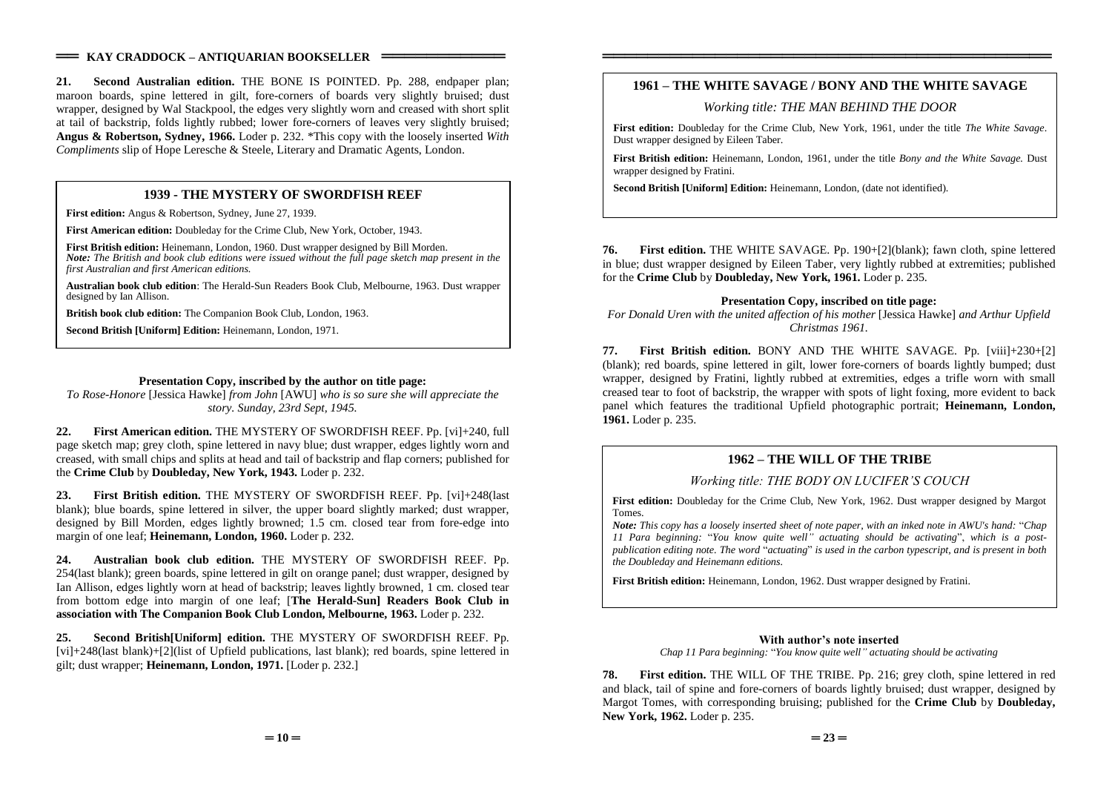### $=$  **KAY CRADDOCK – ANTIQUARIAN BOOKSELLER** =

**21. Second Australian edition.** THE BONE IS POINTED. Pp. 288, endpaper plan; maroon boards, spine lettered in gilt, fore-corners of boards very slightly bruised; dust wrapper, designed by Wal Stackpool, the edges very slightly worn and creased with short split at tail of backstrip, folds lightly rubbed; lower fore-corners of leaves very slightly bruised; **Angus & Robertson, Sydney, 1966.** Loder p. 232. \*This copy with the loosely inserted *With Compliments* slip of Hope Leresche & Steele, Literary and Dramatic Agents, London.

## **1939 - THE MYSTERY OF SWORDFISH REEF**

**First edition:** Angus & Robertson, Sydney, June 27, 1939.

**First American edition:** Doubleday for the Crime Club, New York, October, 1943.

**First British edition:** Heinemann, London, 1960. Dust wrapper designed by Bill Morden. *Note: The British and book club editions were issued without the full page sketch map present in the first Australian and first American editions.*

**Australian book club edition**: The Herald-Sun Readers Book Club, Melbourne, 1963. Dust wrapper designed by Ian Allison.

**British book club edition:** The Companion Book Club, London, 1963.

**Second British [Uniform] Edition:** Heinemann, London, 1971.

### **Presentation Copy, inscribed by the author on title page:**

*To Rose-Honore* [Jessica Hawke] *from John* [AWU] *who is so sure she will appreciate the story. Sunday, 23rd Sept, 1945.*

**22. First American edition.** THE MYSTERY OF SWORDFISH REEF. Pp. [vi]+240, full page sketch map; grey cloth, spine lettered in navy blue; dust wrapper, edges lightly worn and creased, with small chips and splits at head and tail of backstrip and flap corners; published for the **Crime Club** by **Doubleday, New York, 1943.** Loder p. 232.

**23. First British edition.** THE MYSTERY OF SWORDFISH REEF. Pp. [vi]+248(last blank); blue boards, spine lettered in silver, the upper board slightly marked; dust wrapper, designed by Bill Morden, edges lightly browned; 1.5 cm. closed tear from fore-edge into margin of one leaf; **Heinemann, London, 1960.** Loder p. 232.

**24. Australian book club edition.** THE MYSTERY OF SWORDFISH REEF. Pp. 254(last blank); green boards, spine lettered in gilt on orange panel; dust wrapper, designed by Ian Allison, edges lightly worn at head of backstrip; leaves lightly browned, 1 cm. closed tear from bottom edge into margin of one leaf; [**The Herald-Sun] Readers Book Club in association with The Companion Book Club London, Melbourne, 1963.** Loder p. 232.

**25. Second British[Uniform] edition.** THE MYSTERY OF SWORDFISH REEF. Pp. [vi]+248(last blank)+[2](list of Upfield publications, last blank); red boards, spine lettered in gilt; dust wrapper; **Heinemann, London, 1971.** [Loder p. 232.]

## **1961 –THE WHITE SAVAGE / BONY AND THE WHITE SAVAGE**

════════════════════════════════════════

*Working title: THE MAN BEHIND THE DOOR*

**First edition:** Doubleday for the Crime Club, New York, 1961, under the title *The White Savage*. Dust wrapper designed by Eileen Taber.

**First British edition:** Heinemann, London, 1961, under the title *Bony and the White Savage.* Dust wrapper designed by Fratini.

**Second British [Uniform] Edition:** Heinemann, London, (date not identified).

**76. First edition.** THE WHITE SAVAGE. Pp. 190+[2](blank); fawn cloth, spine lettered in blue; dust wrapper designed by Eileen Taber, very lightly rubbed at extremities; published for the **Crime Club** by **Doubleday, New York, 1961.** Loder p. 235.

### **Presentation Copy, inscribed on title page:**

*For Donald Uren with the united affection of his mother* [Jessica Hawke] *and Arthur Upfield Christmas 1961.*

**77. First British edition.** BONY AND THE WHITE SAVAGE. Pp. [viii]+230+[2] (blank); red boards, spine lettered in gilt, lower fore-corners of boards lightly bumped; dust wrapper, designed by Fratini, lightly rubbed at extremities, edges a trifle worn with small creased tear to foot of backstrip, the wrapper with spots of light foxing, more evident to back panel which features the traditional Upfield photographic portrait; **Heinemann, London, 1961.** Loder p. 235.

## **1962 –THE WILL OF THE TRIBE**

## *Working title: THE BODY ON LUCIFER'S COUCH*

**First edition:** Doubleday for the Crime Club, New York, 1962. Dust wrapper designed by Margot Tomes.

*Note: This copy has a loosely inserted sheet of note paper, with an inked note in AWU's hand:* "*Chap 11 Para beginning:* "*You know quite well"actuating should be activating*",*which is a postpublication editing note. The word* "*actuating*"*is used in the carbon typescript, and is present in both the Doubleday and Heinemann editions.*

**First British edition:** Heinemann, London, 1962. Dust wrapper designed by Fratini.

### **With author's note inserted**

*Chap 11 Para beginning:* "*You know quite well"actuating should be activating*

**78. First edition.** THE WILL OF THE TRIBE. Pp. 216; grey cloth, spine lettered in red and black, tail of spine and fore-corners of boards lightly bruised; dust wrapper, designed by Margot Tomes, with corresponding bruising; published for the **Crime Club** by **Doubleday, New York, 1962.** Loder p. 235.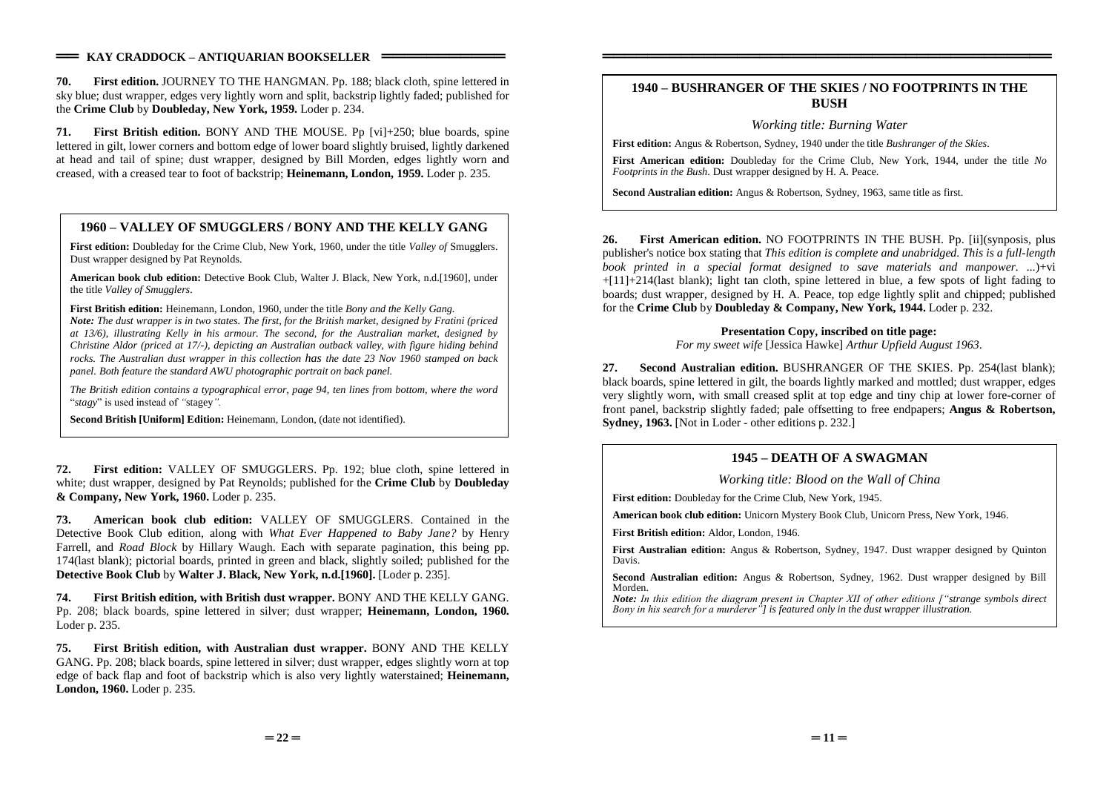**70. First edition.** JOURNEY TO THE HANGMAN. Pp. 188; black cloth, spine lettered in sky blue; dust wrapper, edges very lightly worn and split, backstrip lightly faded; published for the **Crime Club** by **Doubleday, New York, 1959.** Loder p. 234.

**71. First British edition.** BONY AND THE MOUSE. Pp [vi]+250; blue boards, spine lettered in gilt, lower corners and bottom edge of lower board slightly bruised, lightly darkened at head and tail of spine; dust wrapper, designed by Bill Morden, edges lightly worn and creased, with a creased tear to foot of backstrip; **Heinemann, London, 1959.** Loder p. 235.

## **1960 –VALLEY OF SMUGGLERS / BONY AND THE KELLY GANG**

**First edition:** Doubleday for the Crime Club, New York, 1960, under the title *Valley of* Smugglers. Dust wrapper designed by Pat Reynolds.

**American book club edition:** Detective Book Club, Walter J. Black, New York, n.d.[1960], under the title *Valley of Smugglers*.

**First British edition:** Heinemann, London, 1960, under the title *Bony and the Kelly Gang.*

*Note: The dust wrapper is in two states. The first, for the British market, designed by Fratini (priced at 13/6), illustrating Kelly in his armour. The second, for the Australian market, designed by Christine Aldor (priced at 17/-), depicting an Australian outback valley, with figure hiding behind rocks. The Australian dust wrapper in this collection has the date 23 Nov 1960 stamped on back panel. Both feature the standard AWU photographic portrait on back panel.*

*The British edition contains a typographical error, page 94, ten lines from bottom, where the word* "*stagy*"isusedinsteadof*"*stagey*".*

**Second British [Uniform] Edition:** Heinemann, London, (date not identified).

**72. First edition:** VALLEY OF SMUGGLERS. Pp. 192; blue cloth, spine lettered in white; dust wrapper, designed by Pat Reynolds; published for the **Crime Club** by **Doubleday & Company, New York, 1960.** Loder p. 235.

**73. American book club edition:** VALLEY OF SMUGGLERS. Contained in the Detective Book Club edition, along with *What Ever Happened to Baby Jane?* by Henry Farrell, and *Road Block* by Hillary Waugh. Each with separate pagination, this being pp. 174(last blank); pictorial boards, printed in green and black, slightly soiled; published for the **Detective Book Club** by **Walter J. Black, New York, n.d.[1960].** [Loder p. 235].

**74. First British edition, with British dust wrapper.** BONY AND THE KELLY GANG. Pp. 208; black boards, spine lettered in silver; dust wrapper; **Heinemann, London, 1960.** Loder p. 235.

**75. First British edition, with Australian dust wrapper.** BONY AND THE KELLY GANG. Pp. 208; black boards, spine lettered in silver; dust wrapper, edges slightly worn at top edge of back flap and foot of backstrip which is also very lightly waterstained; **Heinemann, London, 1960.** Loder p. 235.

## **1940 –BUSHRANGER OF THE SKIES / NO FOOTPRINTS IN THE BUSH**

════════════════════════════════════════

*Working title: Burning Water*

**First edition:** Angus & Robertson, Sydney, 1940 under the title *Bushranger of the Skies*.

**First American edition:** Doubleday for the Crime Club, New York, 1944, under the title *No Footprints in the Bush*. Dust wrapper designed by H. A. Peace.

**Second Australian edition:** Angus & Robertson, Sydney, 1963, same title as first.

**26. First American edition.** NO FOOTPRINTS IN THE BUSH. Pp. [ii](synposis, plus publisher's notice box stating that *This edition is complete and unabridged. This is a full-length book printed in a special format designed to save materials and manpower. ...*)+vi +[11]+214(last blank); light tan cloth, spine lettered in blue, a few spots of light fading to boards; dust wrapper, designed by H. A. Peace, top edge lightly split and chipped; published for the **Crime Club** by **Doubleday & Company, New York, 1944.** Loder p. 232.

## **Presentation Copy, inscribed on title page:**

*For my sweet wife* [Jessica Hawke] *Arthur Upfield August 1963*.

**27. Second Australian edition.** BUSHRANGER OF THE SKIES. Pp. 254(last blank); black boards, spine lettered in gilt, the boards lightly marked and mottled; dust wrapper, edges very slightly worn, with small creased split at top edge and tiny chip at lower fore-corner of front panel, backstrip slightly faded; pale offsetting to free endpapers; **Angus & Robertson, Sydney, 1963.** [Not in Loder - other editions p. 232.]

## **1945 –DEATH OF A SWAGMAN**

*Working title: Blood on the Wall of China*

**First edition:** Doubleday for the Crime Club, New York, 1945.

**American book club edition:** Unicorn Mystery Book Club, Unicorn Press, New York, 1946.

**First British edition:** Aldor, London, 1946.

**First Australian edition:** Angus & Robertson, Sydney, 1947. Dust wrapper designed by Quinton Davis.

**Second Australian edition:** Angus & Robertson, Sydney, 1962. Dust wrapper designed by Bill Morden.

*Note:* In this edition the diagram present in Chapter XII of other editions ["strange symbols direct *Bonyinhissearchforamurderer"] is featured only in the dust wrapper illustration.*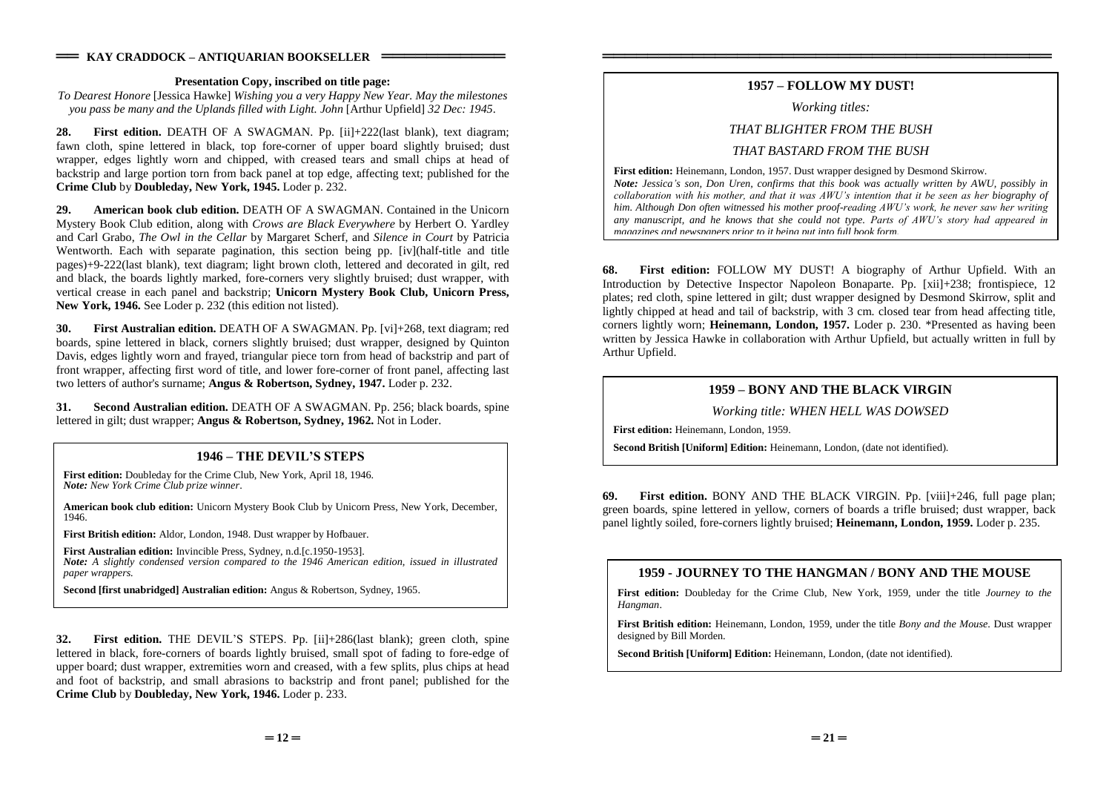#### **Presentation Copy, inscribed on title page:**

*To Dearest Honore* [Jessica Hawke] *Wishing you a very Happy New Year. May the milestones you pass be many and the Uplands filled with Light. John* [Arthur Upfield] *32 Dec: 1945*.

**28. First edition.** DEATH OF A SWAGMAN. Pp. [ii]+222(last blank), text diagram; fawn cloth, spine lettered in black, top fore-corner of upper board slightly bruised; dust wrapper, edges lightly worn and chipped, with creased tears and small chips at head of backstrip and large portion torn from back panel at top edge, affecting text; published for the **Crime Club** by **Doubleday, New York, 1945.** Loder p. 232.

**29. American book club edition.** DEATH OF A SWAGMAN. Contained in the Unicorn Mystery Book Club edition, along with *Crows are Black Everywhere* by Herbert O. Yardley and Carl Grabo, *The Owl in the Cellar* by Margaret Scherf, and *Silence in Court* by Patricia Wentworth. Each with separate pagination, this section being pp. [iv](half-title and title pages)+9-222(last blank), text diagram; light brown cloth, lettered and decorated in gilt, red and black, the boards lightly marked, fore-corners very slightly bruised; dust wrapper, with vertical crease in each panel and backstrip; **Unicorn Mystery Book Club, Unicorn Press, New York, 1946.** See Loder p. 232 (this edition not listed).

**30. First Australian edition.** DEATH OF A SWAGMAN. Pp. [vi]+268, text diagram; red boards, spine lettered in black, corners slightly bruised; dust wrapper, designed by Quinton Davis, edges lightly worn and frayed, triangular piece torn from head of backstrip and part of front wrapper, affecting first word of title, and lower fore-corner of front panel, affecting last two letters of author's surname; **Angus & Robertson, Sydney, 1947.** Loder p. 232.

**31. Second Australian edition.** DEATH OF A SWAGMAN. Pp. 256; black boards, spine lettered in gilt; dust wrapper; **Angus & Robertson, Sydney, 1962.** Not in Loder.

## **1946 –THEDEVIL'SSTEPS**

**First edition:** Doubleday for the Crime Club, New York, April 18, 1946. *Note: New York Crime Club prize winner*.

**American book club edition:** Unicorn Mystery Book Club by Unicorn Press, New York, December, 1946.

**First British edition:** Aldor, London, 1948. Dust wrapper by Hofbauer.

**First Australian edition:** Invincible Press, Sydney, n.d.[c.1950-1953]. *Note: A slightly condensed version compared to the 1946 American edition, issued in illustrated paper wrappers.*

**Second [first unabridged] Australian edition:** Angus & Robertson, Sydney, 1965.

**32. First edition.** THE DEVIL'S STEPS. Pp. [ii]+286(last blank); green cloth, spine lettered in black, fore-corners of boards lightly bruised, small spot of fading to fore-edge of upper board; dust wrapper, extremities worn and creased, with a few splits, plus chips at head and foot of backstrip, and small abrasions to backstrip and front panel; published for the **Crime Club** by **Doubleday, New York, 1946.** Loder p. 233.

## **1957 –FOLLOW MY DUST!**

════════════════════════════════════════

#### *Working titles:*

### *THAT BLIGHTER FROM THE BUSH*

## *THAT BASTARD FROM THE BUSH*

**First edition:** Heinemann, London, 1957. Dust wrapper designed by Desmond Skirrow.

*Note: Jessica's son, Don Uren, confirms that this book was actually written by AWU, possibly in collaboration with his mother, and that it was AWU's intention that it be seen as her biography of him. Although Don often witnessed his mother proof-reading AWU's work, he never saw her writing any manuscript, and he knows that she could not type. PartsofAWU'sstoryhadappearedin magazines and newspapers prior to it being put into full book form.*

**68. First edition:** FOLLOW MY DUST! A biography of Arthur Upfield. With an Introduction by Detective Inspector Napoleon Bonaparte. Pp. [xii]+238; frontispiece, 12 plates; red cloth, spine lettered in gilt; dust wrapper designed by Desmond Skirrow, split and lightly chipped at head and tail of backstrip, with 3 cm. closed tear from head affecting title, corners lightly worn; **Heinemann, London, 1957.** Loder p. 230. \*Presented as having been written by Jessica Hawke in collaboration with Arthur Upfield, but actually written in full by Arthur Upfield.

## **1959 –BONY AND THE BLACK VIRGIN**

*Working title: WHEN HELL WAS DOWSED*

**First edition:** Heinemann, London, 1959.

**Second British [Uniform] Edition:** Heinemann, London, (date not identified).

**69. First edition.** BONY AND THE BLACK VIRGIN. Pp. [viii]+246, full page plan; green boards, spine lettered in yellow, corners of boards a trifle bruised; dust wrapper, back panel lightly soiled, fore-corners lightly bruised; **Heinemann, London, 1959.** Loder p. 235.

## **1959 - JOURNEY TO THE HANGMAN / BONY AND THE MOUSE**

**First edition:** Doubleday for the Crime Club, New York, 1959, under the title *Journey to the Hangman*.

**First British edition:** Heinemann, London, 1959, under the title *Bony and the Mouse*. Dust wrapper designed by Bill Morden.

**Second British [Uniform] Edition:** Heinemann, London, (date not identified).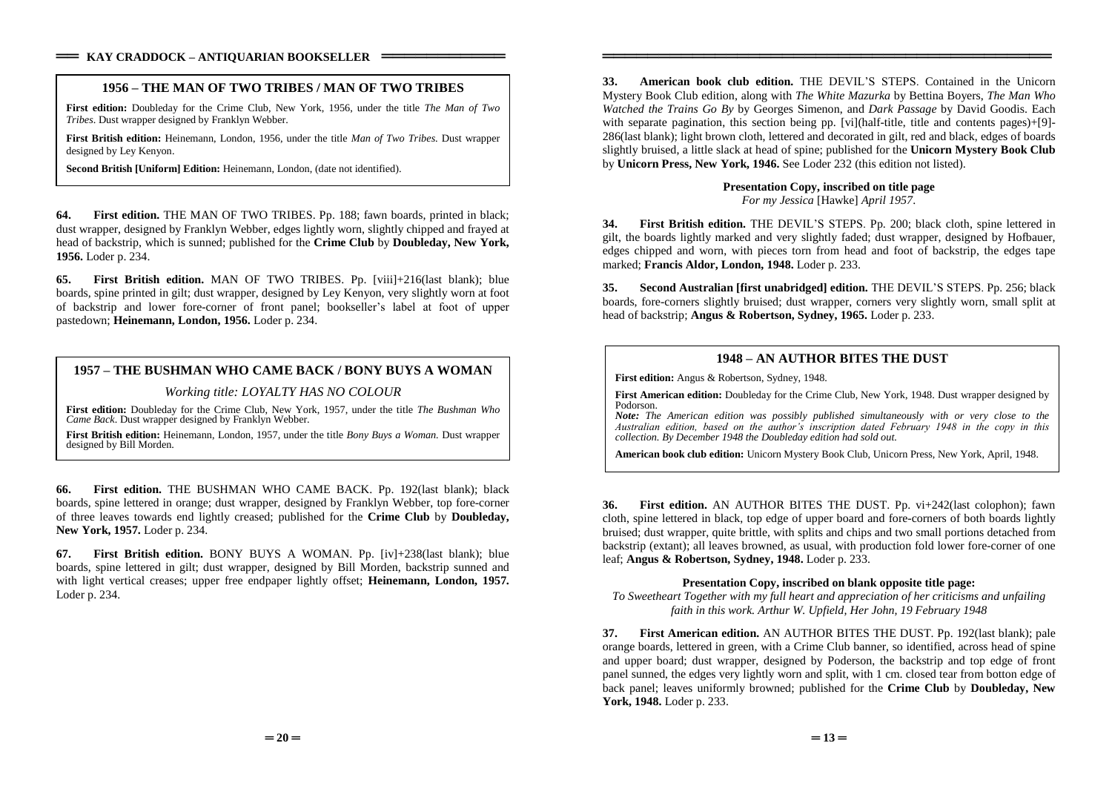### **1956 –THE MAN OF TWO TRIBES / MAN OF TWO TRIBES**

**First edition:** Doubleday for the Crime Club, New York, 1956, under the title *The Man of Two Tribes*. Dust wrapper designed by Franklyn Webber.

**First British edition:** Heinemann, London, 1956, under the title *Man of Two Tribes*. Dust wrapper designed by Ley Kenyon.

**Second British [Uniform] Edition:** Heinemann, London, (date not identified).

**64. First edition.** THE MAN OF TWO TRIBES. Pp. 188; fawn boards, printed in black; dust wrapper, designed by Franklyn Webber, edges lightly worn, slightly chipped and frayed at head of backstrip, which is sunned; published for the **Crime Club** by **Doubleday, New York, 1956.** Loder p. 234.

**65. First British edition.** MAN OF TWO TRIBES. Pp. [viii]+216(last blank); blue boards, spine printed in gilt; dust wrapper, designed by Ley Kenyon, very slightly worn at foot of backstrip and lower fore-corner of front panel; bookseller's label at foot of upper pastedown; **Heinemann, London, 1956.** Loder p. 234.

### **1957 –THE BUSHMAN WHO CAME BACK / BONY BUYS A WOMAN**

#### *Working title: LOYALTY HAS NO COLOUR*

**First edition:** Doubleday for the Crime Club, New York, 1957, under the title *The Bushman Who Came Back*. Dust wrapper designed by Franklyn Webber.

**First British edition:** Heinemann, London, 1957, under the title *Bony Buys a Woman.* Dust wrapper designed by Bill Morden.

**Second British [Uniform] Edition:** Heinemann, London, (date not identified).

**66. First edition.** THE BUSHMAN WHO CAME BACK. Pp. 192(last blank); black boards, spine lettered in orange; dust wrapper, designed by Franklyn Webber, top fore-corner of three leaves towards end lightly creased; published for the **Crime Club** by **Doubleday, New York, 1957.** Loder p. 234.

**67. First British edition.** BONY BUYS A WOMAN. Pp. [iv]+238(last blank); blue boards, spine lettered in gilt; dust wrapper, designed by Bill Morden, backstrip sunned and with light vertical creases; upper free endpaper lightly offset; **Heinemann, London, 1957.** Loder p. 234.

**33. American book club edition.** THEDEVIL'SSTEPS.Contained in the Unicorn Mystery Book Club edition, along with *The White Mazurka* by Bettina Boyers, *The Man Who Watched the Trains Go By* by Georges Simenon, and *Dark Passage* by David Goodis. Each with separate pagination, this section being pp. [vi](half-title, title and contents pages)+[9]-286(last blank); light brown cloth, lettered and decorated in gilt, red and black, edges of boards slightly bruised, a little slack at head of spine; published for the **Unicorn Mystery Book Club** by **Unicorn Press, New York, 1946.** See Loder 232 (this edition not listed).

════════════════════════════════════════

#### **Presentation Copy, inscribed on title page** *For my Jessica* [Hawke] *April 1957*.

**34.** First British edition. THE DEVIL'S STEPS. Pp. 200; black cloth, spine lettered in gilt, the boards lightly marked and very slightly faded; dust wrapper, designed by Hofbauer, edges chipped and worn, with pieces torn from head and foot of backstrip, the edges tape marked; **Francis Aldor, London, 1948.** Loder p. 233.

**35. Second Australian [first unabridged] edition.** THEDEVIL'SSTEPS.Pp. 256; black boards, fore-corners slightly bruised; dust wrapper, corners very slightly worn, small split at head of backstrip; **Angus & Robertson, Sydney, 1965.** Loder p. 233.

## **1948 –AN AUTHOR BITES THE DUST**

**First edition:** Angus & Robertson, Sydney, 1948.

**First American edition:** Doubleday for the Crime Club, New York, 1948. Dust wrapper designed by Podorson.

*Note: The American edition was possibly published simultaneously with or very close to the* Australian edition, based on the author's inscription dated February 1948 in the copy in this *collection. By December 1948 the Doubleday edition had sold out.*

**American book club edition:** Unicorn Mystery Book Club, Unicorn Press, New York, April, 1948.

**36. First edition.** AN AUTHOR BITES THE DUST. Pp. vi+242(last colophon); fawn cloth, spine lettered in black, top edge of upper board and fore-corners of both boards lightly bruised; dust wrapper, quite brittle, with splits and chips and two small portions detached from backstrip (extant); all leaves browned, as usual, with production fold lower fore-corner of one leaf; **Angus & Robertson, Sydney, 1948.** Loder p. 233.

#### **Presentation Copy, inscribed on blank opposite title page:**

*To Sweetheart Together with my full heart and appreciation of her criticisms and unfailing faith in this work. Arthur W. Upfield, Her John, 19 February 1948*

**37. First American edition.** AN AUTHOR BITES THE DUST. Pp. 192(last blank); pale orange boards, lettered in green, with a Crime Club banner, so identified, across head of spine and upper board; dust wrapper, designed by Poderson, the backstrip and top edge of front panel sunned, the edges very lightly worn and split, with 1 cm. closed tear from botton edge of back panel; leaves uniformly browned; published for the **Crime Club** by **Doubleday, New York, 1948.** Loder p. 233.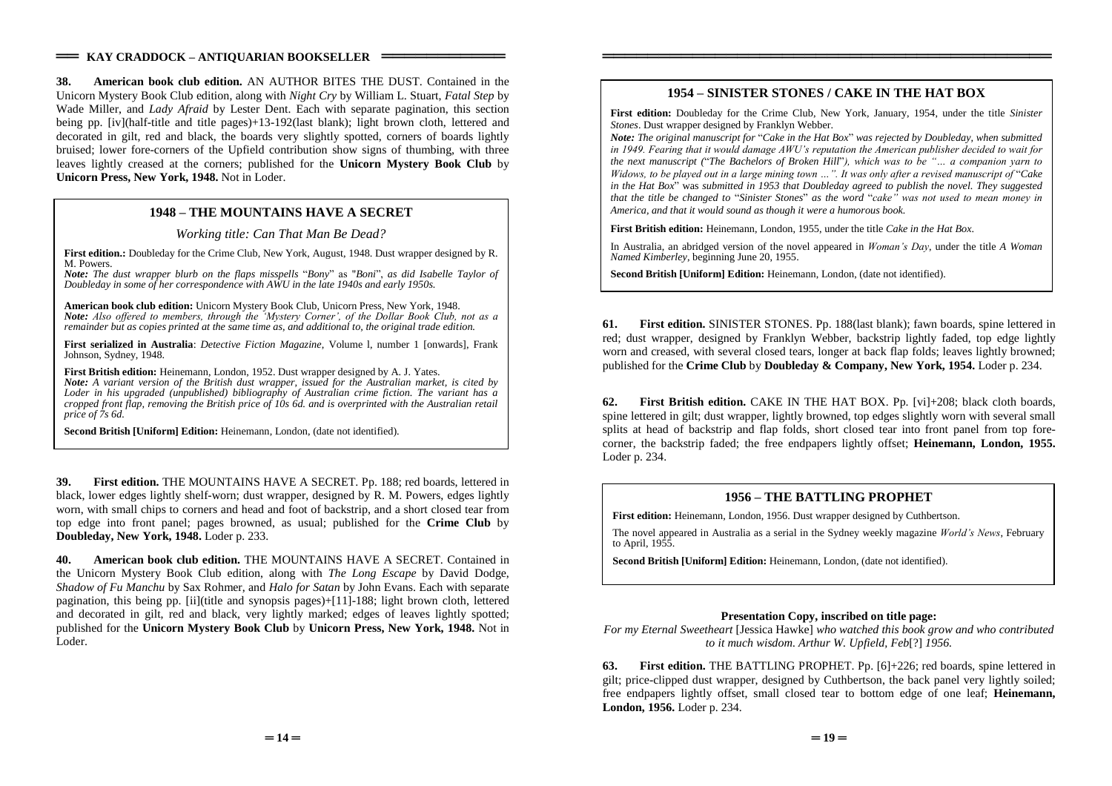**38. American book club edition.** AN AUTHOR BITES THE DUST. Contained in the Unicorn Mystery Book Club edition, along with *Night Cry* by William L. Stuart, *Fatal Step* by Wade Miller, and *Lady Afraid* by Lester Dent. Each with separate pagination, this section being pp. [iv](half-title and title pages)+13-192(last blank); light brown cloth, lettered and decorated in gilt, red and black, the boards very slightly spotted, corners of boards lightly bruised; lower fore-corners of the Upfield contribution show signs of thumbing, with three leaves lightly creased at the corners; published for the **Unicorn Mystery Book Club** by **Unicorn Press, New York, 1948.** Not in Loder.

### **1948 –THE MOUNTAINS HAVE A SECRET**

*Working title: Can That Man Be Dead?*

First edition.: Doubleday for the Crime Club, New York, August, 1948. Dust wrapper designed by R. M. Powers.

*Note: The dust wrapper blurb on the flaps misspells* "*Bony*"as"*Boni*",*as did Isabelle Taylor of Doubleday in some of her correspondence with AWU in the late 1940s and early 1950s.*

**American book club edition:** Unicorn Mystery Book Club, Unicorn Press, New York, 1948. *Note: Also offered to members, through the 'Mystery Corner', of the Dollar Book Club, not as a remainder but as copies printed at the same time as, and additional to, the original trade edition.*

**First serialized in Australia**: *Detective Fiction Magazine*, Volume l, number 1 [onwards], Frank Johnson, Sydney, 1948.

**First British edition:** Heinemann, London, 1952. Dust wrapper designed by A. J. Yates. *Note: A variant version of the British dust wrapper, issued for the Australian market, is cited by Loder in his upgraded (unpublished) bibliography of Australian crime fiction. The variant has a cropped front flap, removing the British price of 10s 6d. and is overprinted with the Australian retail price of 7s 6d.*

**Second British [Uniform] Edition:** Heinemann, London, (date not identified).

**39. First edition.** THE MOUNTAINS HAVE A SECRET. Pp. 188; red boards, lettered in black, lower edges lightly shelf-worn; dust wrapper, designed by R. M. Powers, edges lightly worn, with small chips to corners and head and foot of backstrip, and a short closed tear from top edge into front panel; pages browned, as usual; published for the **Crime Club** by **Doubleday, New York, 1948.** Loder p. 233.

**40. American book club edition.** THE MOUNTAINS HAVE A SECRET. Contained in the Unicorn Mystery Book Club edition, along with *The Long Escape* by David Dodge, *Shadow of Fu Manchu* by Sax Rohmer, and *Halo for Satan* by John Evans. Each with separate pagination, this being pp. [ii](title and synopsis pages)+[11]-188; light brown cloth, lettered and decorated in gilt, red and black, very lightly marked; edges of leaves lightly spotted; published for the **Unicorn Mystery Book Club** by **Unicorn Press, New York, 1948.** Not in Loder.

## **1954 –SINISTER STONES / CAKE IN THE HAT BOX**

════════════════════════════════════════

**First edition:** Doubleday for the Crime Club, New York, January, 1954, under the title *Sinister Stones*. Dust wrapper designed by Franklyn Webber.

*Note: The original manuscript for* "*Cake in the Hat Box*"*was rejected by Doubleday, when submitted in 1949. Fearing that it would damage AWU's reputation the American publisher decided to wait for the next manuscript ("The Bachelors of Broken Hill"), which was to be "... a companion varn to Widows,tobeplayedoutinalargeminingtown…".Itwasonlyafterarevisedmanuscriptof*"*Cake in the Hat Box*"was *submitted in 1953 that Doubleday agreed to publish the novel. They suggested that the title be changed to "Sinister Stones" as the word "cake" was not used to mean money in America, and that it would sound as though it were a humorous book.*

**First British edition:** Heinemann, London, 1955, under the title *Cake in the Hat Box*.

In Australia, an abridged version of the novel appeared in *Woman's Day*, under the title *A Woman Named Kimberley*, beginning June 20, 1955.

**Second British [Uniform] Edition:** Heinemann, London, (date not identified).

**61. First edition.** SINISTER STONES. Pp. 188(last blank); fawn boards, spine lettered in red; dust wrapper, designed by Franklyn Webber, backstrip lightly faded, top edge lightly worn and creased, with several closed tears, longer at back flap folds; leaves lightly browned; published for the **Crime Club** by **Doubleday & Company, New York, 1954.** Loder p. 234.

**62. First British edition.** CAKE IN THE HAT BOX. Pp. [vi]+208; black cloth boards, spine lettered in gilt; dust wrapper, lightly browned, top edges slightly worn with several small splits at head of backstrip and flap folds, short closed tear into front panel from top forecorner, the backstrip faded; the free endpapers lightly offset; **Heinemann, London, 1955.** Loder p. 234.

### **1956 –THE BATTLING PROPHET**

**First edition:** Heinemann, London, 1956. Dust wrapper designed by Cuthbertson.

The novel appeared in Australia as a serial in the Sydney weekly magazine *World's News*, February to April, 1955.

**Second British [Uniform] Edition:** Heinemann, London, (date not identified).

#### **Presentation Copy, inscribed on title page:**

*For my Eternal Sweetheart* [Jessica Hawke] *who watched this book grow and who contributed to it much wisdom. Arthur W. Upfield, Feb*[?] *1956.*

**63. First edition.** THE BATTLING PROPHET. Pp. [6]+226; red boards, spine lettered in gilt; price-clipped dust wrapper, designed by Cuthbertson, the back panel very lightly soiled; free endpapers lightly offset, small closed tear to bottom edge of one leaf; **Heinemann, London, 1956.** Loder p. 234.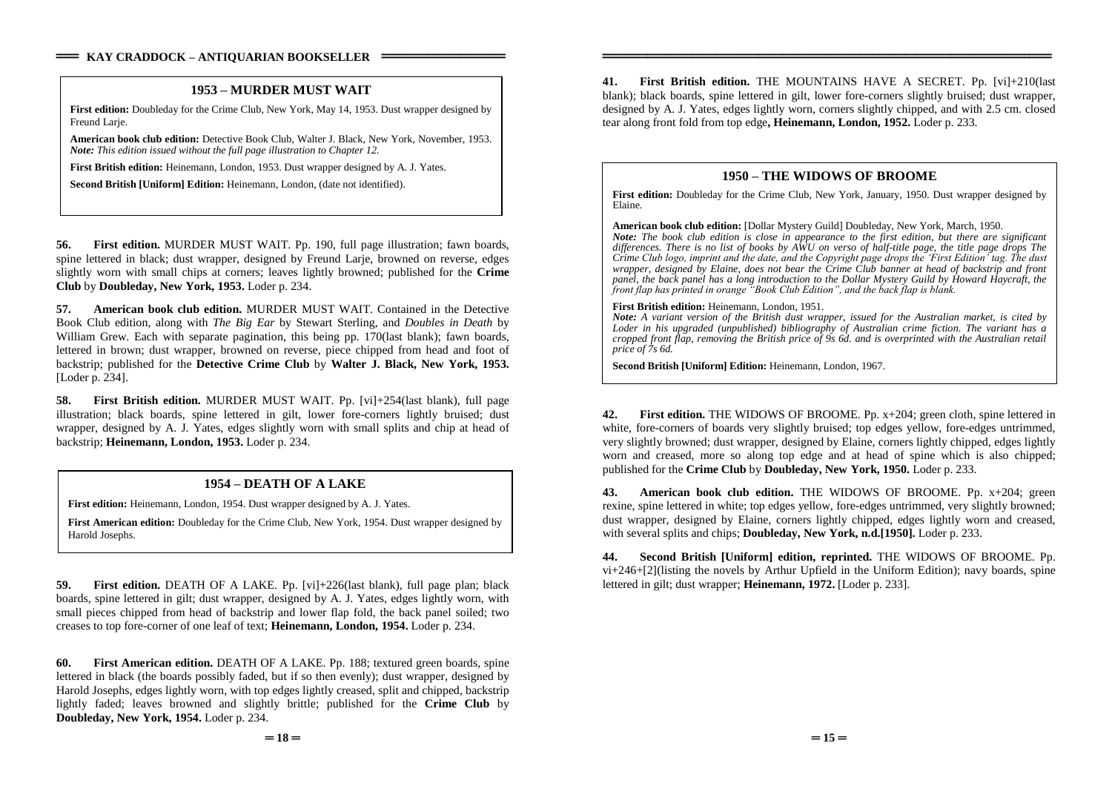### **1953 –MURDER MUST WAIT**

**First edition:** Doubleday for the Crime Club, New York, May 14, 1953. Dust wrapper designed by Freund Larie.

**American book club edition:** Detective Book Club, Walter J. Black, New York, November, 1953. *Note: This edition issued without the full page illustration to Chapter 12.*

**First British edition:** Heinemann, London, 1953. Dust wrapper designed by A. J. Yates.

**Second British [Uniform] Edition:** Heinemann, London, (date not identified).

**56. First edition.** MURDER MUST WAIT. Pp. 190, full page illustration; fawn boards, spine lettered in black; dust wrapper, designed by Freund Larje, browned on reverse, edges slightly worn with small chips at corners; leaves lightly browned; published for the **Crime Club** by **Doubleday, New York, 1953.** Loder p. 234.

**57. American book club edition.** MURDER MUST WAIT. Contained in the Detective Book Club edition, along with *The Big Ear* by Stewart Sterling, and *Doubles in Death* by William Grew. Each with separate pagination, this being pp. 170(last blank); fawn boards, lettered in brown; dust wrapper, browned on reverse, piece chipped from head and foot of backstrip; published for the **Detective Crime Club** by **Walter J. Black, New York, 1953.** [Loder p. 234].

**58. First British edition.** MURDER MUST WAIT. Pp. [vi]+254(last blank), full page illustration; black boards, spine lettered in gilt, lower fore-corners lightly bruised; dust wrapper, designed by A. J. Yates, edges slightly worn with small splits and chip at head of backstrip; **Heinemann, London, 1953.** Loder p. 234.

### **1954 –DEATH OF A LAKE**

**First edition:** Heinemann, London, 1954. Dust wrapper designed by A. J. Yates.

**First American edition:** Doubleday for the Crime Club, New York, 1954. Dust wrapper designed by Harold Josephs.

**59. First edition.** DEATH OF A LAKE. Pp. [vi]+226(last blank), full page plan; black boards, spine lettered in gilt; dust wrapper, designed by A. J. Yates, edges lightly worn, with small pieces chipped from head of backstrip and lower flap fold, the back panel soiled; two creases to top fore-corner of one leaf of text; **Heinemann, London, 1954.** Loder p. 234.

**60. First American edition.** DEATH OF A LAKE. Pp. 188; textured green boards, spine lettered in black (the boards possibly faded, but if so then evenly); dust wrapper, designed by Harold Josephs, edges lightly worn, with top edges lightly creased, split and chipped, backstrip lightly faded; leaves browned and slightly brittle; published for the **Crime Club** by **Doubleday, New York, 1954.** Loder p. 234.

**41. First British edition.** THE MOUNTAINS HAVE A SECRET. Pp. [vi]+210(last blank); black boards, spine lettered in gilt, lower fore-corners slightly bruised; dust wrapper, designed by A. J. Yates, edges lightly worn, corners slightly chipped, and with 2.5 cm. closed tear along front fold from top edge**, Heinemann, London, 1952.** Loder p. 233.

════════════════════════════════════════

### **1950 –THE WIDOWS OF BROOME**

**First edition:** Doubleday for the Crime Club, New York, January, 1950. Dust wrapper designed by Elaine.

**American book club edition:** [Dollar Mystery Guild] Doubleday, New York, March, 1950. *Note: The book club edition is close in appearance to the first edition, but there are significant differences. There is no list of books by AWU on verso of half-title page, the title page drops The Crime Club logo, imprint and the date, and the Copyright page drops the 'First Edition' tag. The dust wrapper, designed by Elaine, does not bear the Crime Club banner at head of backstrip and front panel, the back panel has a long introduction to the Dollar Mystery Guild by Howard Haycraft, the front flap has printed in orange* "Book Club Edition", and the back flap is blank.

#### **First British edition:** Heinemann, London, 1951.

*Note: A variant version of the British dust wrapper, issued for the Australian market, is cited by Loder in his upgraded (unpublished) bibliography of Australian crime fiction. The variant has a cropped front flap, removing the British price of 9s 6d. and is overprinted with the Australian retail price of 7s 6d.*

**Second British [Uniform] Edition:** Heinemann, London, 1967.

**42. First edition.** THE WIDOWS OF BROOME. Pp. x+204; green cloth, spine lettered in white, fore-corners of boards very slightly bruised; top edges yellow, fore-edges untrimmed, very slightly browned; dust wrapper, designed by Elaine, corners lightly chipped, edges lightly worn and creased, more so along top edge and at head of spine which is also chipped; published for the **Crime Club** by **Doubleday, New York, 1950.** Loder p. 233.

**43. American book club edition.** THE WIDOWS OF BROOME. Pp. x+204; green rexine, spine lettered in white; top edges yellow, fore-edges untrimmed, very slightly browned; dust wrapper, designed by Elaine, corners lightly chipped, edges lightly worn and creased, with several splits and chips; **Doubleday, New York, n.d.[1950].** Loder p. 233.

**44. Second British [Uniform] edition, reprinted.** THE WIDOWS OF BROOME. Pp. vi+246+[2](listing the novels by Arthur Upfield in the Uniform Edition); navy boards, spine lettered in gilt; dust wrapper; **Heinemann, 1972.** [Loder p. 233].